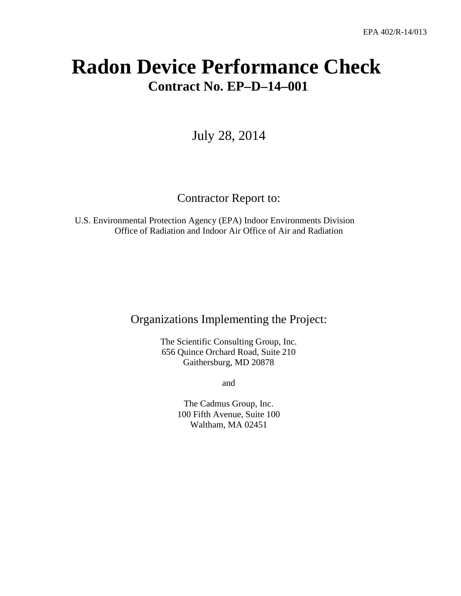# **Radon Device Performance Check Contract No. EP–D–14–001**

July 28, 2014

# Contractor Report to:

U.S. Environmental Protection Agency (EPA) Indoor Environments Division Office of Radiation and Indoor Air Office of Air and Radiation

# Organizations Implementing the Project:

The Scientific Consulting Group, Inc. 656 Quince Orchard Road, Suite 210 Gaithersburg, MD 20878

and

The Cadmus Group, Inc. 100 Fifth Avenue, Suite 100 Waltham, MA 02451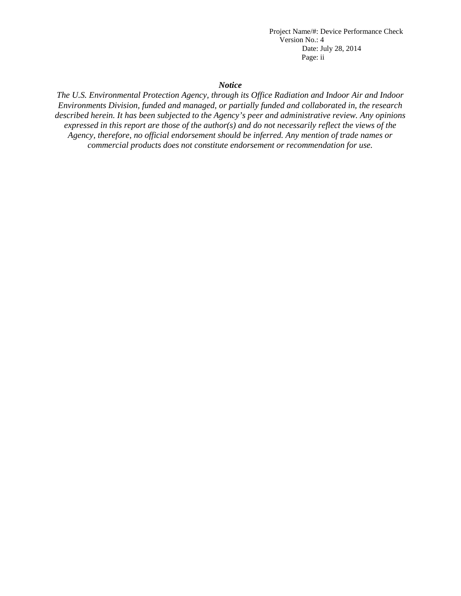*Notice*

*The U.S. Environmental Protection Agency, through its Office Radiation and Indoor Air and Indoor Environments Division, funded and managed, or partially funded and collaborated in, the research described herein. It has been subjected to the Agency's peer and administrative review. Any opinions expressed in this report are those of the author(s) and do not necessarily reflect the views of the Agency, therefore, no official endorsement should be inferred. Any mention of trade names or commercial products does not constitute endorsement or recommendation for use.*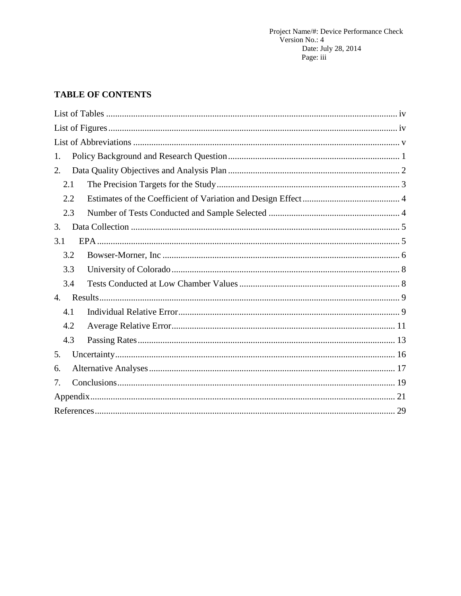# **TABLE OF CONTENTS**

| 1.               |
|------------------|
| 2.               |
| 2.1              |
| 2.2              |
| 2.3              |
| 3.               |
| 3.1              |
| 3.2              |
| 3.3              |
| 3.4              |
| $\overline{4}$ . |
| 4.1              |
| 4.2              |
| 4.3              |
| 5.               |
| 6.               |
| 7.               |
|                  |
|                  |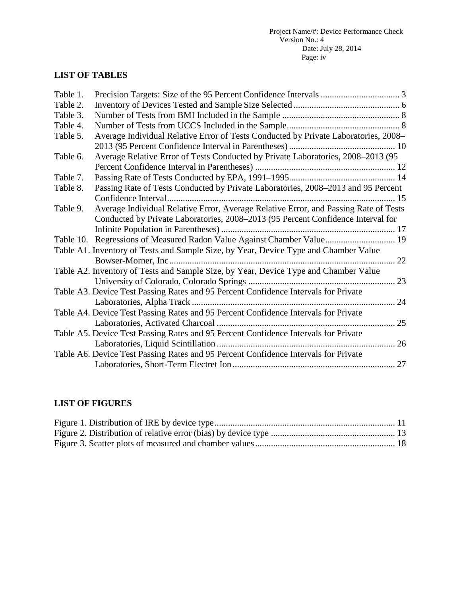# <span id="page-3-0"></span>**LIST OF TABLES**

| Table 1.  |                                                                                      |  |
|-----------|--------------------------------------------------------------------------------------|--|
| Table 2.  |                                                                                      |  |
| Table 3.  |                                                                                      |  |
| Table 4.  |                                                                                      |  |
| Table 5.  | Average Individual Relative Error of Tests Conducted by Private Laboratories, 2008-  |  |
|           |                                                                                      |  |
| Table 6.  | Average Relative Error of Tests Conducted by Private Laboratories, 2008-2013 (95     |  |
|           |                                                                                      |  |
| Table 7.  |                                                                                      |  |
| Table 8.  | Passing Rate of Tests Conducted by Private Laboratories, 2008-2013 and 95 Percent    |  |
|           |                                                                                      |  |
| Table 9.  | Average Individual Relative Error, Average Relative Error, and Passing Rate of Tests |  |
|           | Conducted by Private Laboratories, 2008–2013 (95 Percent Confidence Interval for     |  |
|           |                                                                                      |  |
| Table 10. |                                                                                      |  |
|           | Table A1. Inventory of Tests and Sample Size, by Year, Device Type and Chamber Value |  |
|           | 22                                                                                   |  |
|           | Table A2. Inventory of Tests and Sample Size, by Year, Device Type and Chamber Value |  |
|           | 23                                                                                   |  |
|           | Table A3. Device Test Passing Rates and 95 Percent Confidence Intervals for Private  |  |
|           | 24                                                                                   |  |
|           | Table A4. Device Test Passing Rates and 95 Percent Confidence Intervals for Private  |  |
|           | 25                                                                                   |  |
|           | Table A5. Device Test Passing Rates and 95 Percent Confidence Intervals for Private  |  |
|           | 26                                                                                   |  |
|           | Table A6. Device Test Passing Rates and 95 Percent Confidence Intervals for Private  |  |
|           |                                                                                      |  |

# <span id="page-3-1"></span>**LIST OF FIGURES**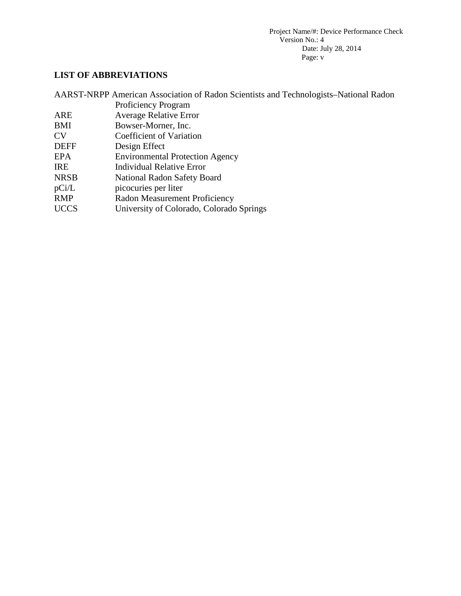# <span id="page-4-0"></span>**LIST OF ABBREVIATIONS**

|             | AARST-NRPP American Association of Radon Scientists and Technologists–National Radon |
|-------------|--------------------------------------------------------------------------------------|
|             | <b>Proficiency Program</b>                                                           |
| ARE         | <b>Average Relative Error</b>                                                        |
| BMI         | Bowser-Morner, Inc.                                                                  |
| CV          | Coefficient of Variation                                                             |
| <b>DEFF</b> | Design Effect                                                                        |
| <b>EPA</b>  | <b>Environmental Protection Agency</b>                                               |
| <b>IRE</b>  | <b>Individual Relative Error</b>                                                     |
| <b>NRSB</b> | National Radon Safety Board                                                          |
| pCi/L       | picocuries per liter                                                                 |
| <b>RMP</b>  | Radon Measurement Proficiency                                                        |
| <b>UCCS</b> | University of Colorado, Colorado Springs                                             |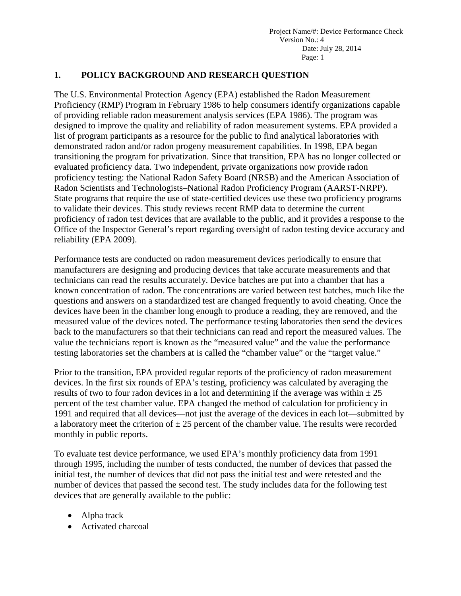### <span id="page-5-0"></span>**1. POLICY BACKGROUND AND RESEARCH QUESTION**

The U.S. Environmental Protection Agency (EPA) established the Radon Measurement Proficiency (RMP) Program in February 1986 to help consumers identify organizations capable of providing reliable radon measurement analysis services (EPA 1986). The program was designed to improve the quality and reliability of radon measurement systems. EPA provided a list of program participants as a resource for the public to find analytical laboratories with demonstrated radon and/or radon progeny measurement capabilities. In 1998, EPA began transitioning the program for privatization. Since that transition, EPA has no longer collected or evaluated proficiency data. Two independent, private organizations now provide radon proficiency testing: the National Radon Safety Board (NRSB) and the American Association of Radon Scientists and Technologists–National Radon Proficiency Program (AARST-NRPP). State programs that require the use of state-certified devices use these two proficiency programs to validate their devices. This study reviews recent RMP data to determine the current proficiency of radon test devices that are available to the public, and it provides a response to the Office of the Inspector General's report regarding oversight of radon testing device accuracy and reliability (EPA 2009).

Performance tests are conducted on radon measurement devices periodically to ensure that manufacturers are designing and producing devices that take accurate measurements and that technicians can read the results accurately. Device batches are put into a chamber that has a known concentration of radon. The concentrations are varied between test batches, much like the questions and answers on a standardized test are changed frequently to avoid cheating. Once the devices have been in the chamber long enough to produce a reading, they are removed, and the measured value of the devices noted. The performance testing laboratories then send the devices back to the manufacturers so that their technicians can read and report the measured values. The value the technicians report is known as the "measured value" and the value the performance testing laboratories set the chambers at is called the "chamber value" or the "target value."

Prior to the transition, EPA provided regular reports of the proficiency of radon measurement devices. In the first six rounds of EPA's testing, proficiency was calculated by averaging the results of two to four radon devices in a lot and determining if the average was within  $\pm 25$ percent of the test chamber value. EPA changed the method of calculation for proficiency in 1991 and required that all devices—not just the average of the devices in each lot—submitted by a laboratory meet the criterion of  $\pm 25$  percent of the chamber value. The results were recorded monthly in public reports.

To evaluate test device performance, we used EPA's monthly proficiency data from 1991 through 1995, including the number of tests conducted, the number of devices that passed the initial test, the number of devices that did not pass the initial test and were retested and the number of devices that passed the second test. The study includes data for the following test devices that are generally available to the public:

- Alpha track
- Activated charcoal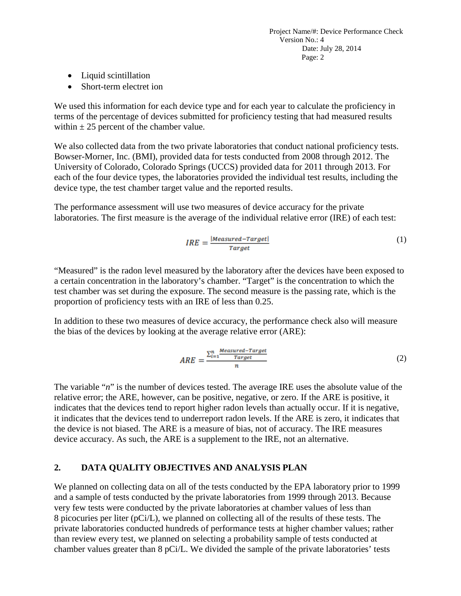- Liquid scintillation
- Short-term electret ion

We used this information for each device type and for each year to calculate the proficiency in terms of the percentage of devices submitted for proficiency testing that had measured results within  $\pm 25$  percent of the chamber value.

We also collected data from the two private laboratories that conduct national proficiency tests. Bowser-Morner, Inc. (BMI), provided data for tests conducted from 2008 through 2012. The University of Colorado, Colorado Springs (UCCS) provided data for 2011 through 2013. For each of the four device types, the laboratories provided the individual test results, including the device type, the test chamber target value and the reported results.

The performance assessment will use two measures of device accuracy for the private laboratories. The first measure is the average of the individual relative error (IRE) of each test:

$$
IRE = \frac{|Measured - Target|}{Target}
$$
 (1)

"Measured" is the radon level measured by the laboratory after the devices have been exposed to a certain concentration in the laboratory's chamber. "Target" is the concentration to which the test chamber was set during the exposure. The second measure is the passing rate, which is the proportion of proficiency tests with an IRE of less than 0.25.

In addition to these two measures of device accuracy, the performance check also will measure the bias of the devices by looking at the average relative error (ARE):

$$
ARE = \frac{\sum_{i=1}^{n} \frac{Measured - Target}{Target}}{n} \tag{2}
$$

The variable "*n*" is the number of devices tested. The average IRE uses the absolute value of the relative error; the ARE, however, can be positive, negative, or zero. If the ARE is positive, it indicates that the devices tend to report higher radon levels than actually occur. If it is negative, it indicates that the devices tend to underreport radon levels. If the ARE is zero, it indicates that the device is not biased. The ARE is a measure of bias, not of accuracy. The IRE measures device accuracy. As such, the ARE is a supplement to the IRE, not an alternative.

# <span id="page-6-0"></span>**2. DATA QUALITY OBJECTIVES AND ANALYSIS PLAN**

We planned on collecting data on all of the tests conducted by the EPA laboratory prior to 1999 and a sample of tests conducted by the private laboratories from 1999 through 2013. Because very few tests were conducted by the private laboratories at chamber values of less than 8 picocuries per liter (pCi/L), we planned on collecting all of the results of these tests. The private laboratories conducted hundreds of performance tests at higher chamber values; rather than review every test, we planned on selecting a probability sample of tests conducted at chamber values greater than 8 pCi/L. We divided the sample of the private laboratories' tests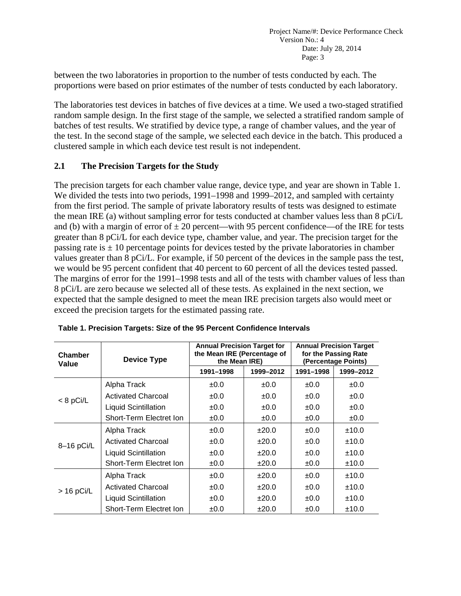between the two laboratories in proportion to the number of tests conducted by each. The proportions were based on prior estimates of the number of tests conducted by each laboratory.

The laboratories test devices in batches of five devices at a time. We used a two-staged stratified random sample design. In the first stage of the sample, we selected a stratified random sample of batches of test results. We stratified by device type, a range of chamber values, and the year of the test. In the second stage of the sample, we selected each device in the batch. This produced a clustered sample in which each device test result is not independent.

### <span id="page-7-0"></span>**2.1 The Precision Targets for the Study**

The precision targets for each chamber value range, device type, and year are shown in Table 1. We divided the tests into two periods, 1991–1998 and 1999–2012, and sampled with certainty from the first period. The sample of private laboratory results of tests was designed to estimate the mean IRE (a) without sampling error for tests conducted at chamber values less than 8 pCi/L and (b) with a margin of error of  $\pm 20$  percent—with 95 percent confidence—of the IRE for tests greater than 8 pCi/L for each device type, chamber value, and year. The precision target for the passing rate is  $\pm 10$  percentage points for devices tested by the private laboratories in chamber values greater than 8 pCi/L. For example, if 50 percent of the devices in the sample pass the test, we would be 95 percent confident that 40 percent to 60 percent of all the devices tested passed. The margins of error for the 1991–1998 tests and all of the tests with chamber values of less than 8 pCi/L are zero because we selected all of these tests. As explained in the next section, we expected that the sample designed to meet the mean IRE precision targets also would meet or exceed the precision targets for the estimated passing rate.

| Chamber<br>Value | <b>Device Type</b>          | <b>Annual Precision Target for</b><br>the Mean IRE (Percentage of<br>the Mean IRE) |           | <b>Annual Precision Target</b><br>for the Passing Rate<br>(Percentage Points) |           |  |
|------------------|-----------------------------|------------------------------------------------------------------------------------|-----------|-------------------------------------------------------------------------------|-----------|--|
|                  |                             | 1991-1998                                                                          | 1999-2012 | 1991-1998                                                                     | 1999-2012 |  |
|                  | Alpha Track                 | ±0.0                                                                               | ±0.0      | ±0.0                                                                          | ±0.0      |  |
| $< 8$ pCi/L      | <b>Activated Charcoal</b>   | ±0.0                                                                               | ±0.0      | ±0.0                                                                          | ±0.0      |  |
|                  | <b>Liquid Scintillation</b> | ±0.0                                                                               | ±0.0      | ±0.0                                                                          | ±0.0      |  |
|                  | Short-Term Electret Ion     | ±0.0                                                                               | ±0.0      | ±0.0                                                                          | ±0.0      |  |
|                  | Alpha Track                 | ±0.0                                                                               | ±20.0     | ±0.0                                                                          | ±10.0     |  |
| $8-16$ pCi/L     | <b>Activated Charcoal</b>   | ±0.0                                                                               | ±20.0     | ±0.0                                                                          | ±10.0     |  |
|                  | <b>Liquid Scintillation</b> | ±0.0                                                                               | ±20.0     | ±0.0                                                                          | ±10.0     |  |
|                  | Short-Term Electret Ion     | ±0.0                                                                               | ±20.0     | ±0.0                                                                          | ±10.0     |  |
|                  | Alpha Track                 | ±0.0                                                                               | ±20.0     | ±0.0                                                                          | ±10.0     |  |
| $>$ 16 pCi/L     | <b>Activated Charcoal</b>   | ±0.0                                                                               | ±20.0     | $+0.0$                                                                        | ±10.0     |  |
|                  | <b>Liquid Scintillation</b> | ±0.0                                                                               | ±20.0     | ±0.0                                                                          | ±10.0     |  |
|                  | Short-Term Electret Ion     | ±0.0                                                                               | ±20.0     | ±0.0                                                                          | ±10.0     |  |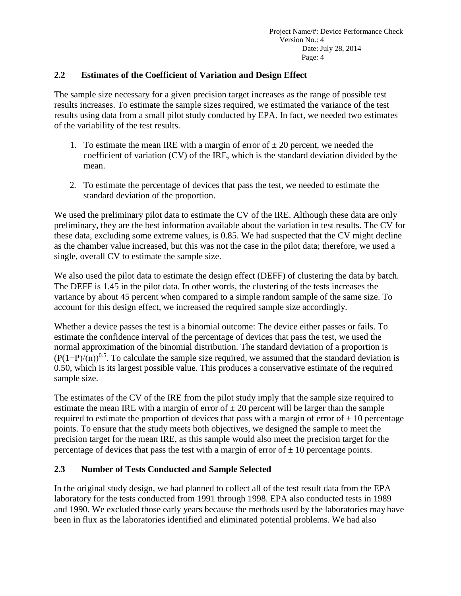### <span id="page-8-0"></span>**2.2 Estimates of the Coefficient of Variation and Design Effect**

The sample size necessary for a given precision target increases as the range of possible test results increases. To estimate the sample sizes required, we estimated the variance of the test results using data from a small pilot study conducted by EPA. In fact, we needed two estimates of the variability of the test results.

- 1. To estimate the mean IRE with a margin of error of  $\pm 20$  percent, we needed the coefficient of variation (CV) of the IRE, which is the standard deviation divided by the mean.
- 2. To estimate the percentage of devices that pass the test, we needed to estimate the standard deviation of the proportion.

We used the preliminary pilot data to estimate the CV of the IRE. Although these data are only preliminary, they are the best information available about the variation in test results. The CV for these data, excluding some extreme values, is 0.85. We had suspected that the CV might decline as the chamber value increased, but this was not the case in the pilot data; therefore, we used a single, overall CV to estimate the sample size.

We also used the pilot data to estimate the design effect (DEFF) of clustering the data by batch. The DEFF is 1.45 in the pilot data. In other words, the clustering of the tests increases the variance by about 45 percent when compared to a simple random sample of the same size. To account for this design effect, we increased the required sample size accordingly.

Whether a device passes the test is a binomial outcome: The device either passes or fails. To estimate the confidence interval of the percentage of devices that pass the test, we used the normal approximation of the binomial distribution. The standard deviation of a proportion is  $(P(1-P)/(n))^{0.5}$ . To calculate the sample size required, we assumed that the standard deviation is 0.50, which is its largest possible value. This produces a conservative estimate of the required sample size.

The estimates of the CV of the IRE from the pilot study imply that the sample size required to estimate the mean IRE with a margin of error of  $\pm 20$  percent will be larger than the sample required to estimate the proportion of devices that pass with a margin of error of  $\pm 10$  percentage points. To ensure that the study meets both objectives, we designed the sample to meet the precision target for the mean IRE, as this sample would also meet the precision target for the percentage of devices that pass the test with a margin of error of  $\pm$  10 percentage points.

### <span id="page-8-1"></span>**2.3 Number of Tests Conducted and Sample Selected**

In the original study design, we had planned to collect all of the test result data from the EPA laboratory for the tests conducted from 1991 through 1998. EPA also conducted tests in 1989 and 1990. We excluded those early years because the methods used by the laboratories may have been in flux as the laboratories identified and eliminated potential problems. We had also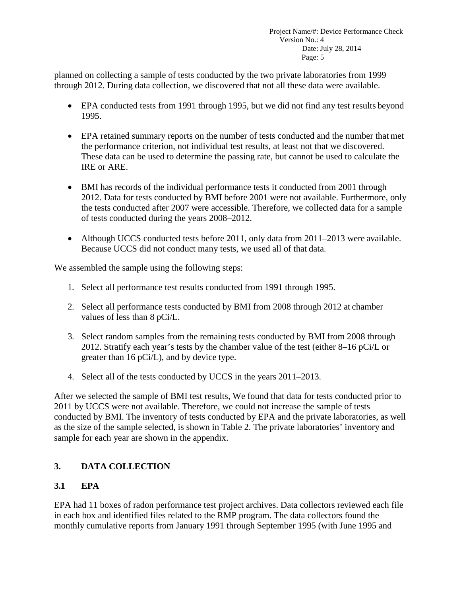planned on collecting a sample of tests conducted by the two private laboratories from 1999 through 2012. During data collection, we discovered that not all these data were available.

- EPA conducted tests from 1991 through 1995, but we did not find any test results beyond 1995.
- EPA retained summary reports on the number of tests conducted and the number that met the performance criterion, not individual test results, at least not that we discovered. These data can be used to determine the passing rate, but cannot be used to calculate the IRE or ARE.
- BMI has records of the individual performance tests it conducted from 2001 through 2012. Data for tests conducted by BMI before 2001 were not available. Furthermore, only the tests conducted after 2007 were accessible. Therefore, we collected data for a sample of tests conducted during the years 2008–2012.
- Although UCCS conducted tests before 2011, only data from 2011–2013 were available. Because UCCS did not conduct many tests, we used all of that data.

We assembled the sample using the following steps:

- 1. Select all performance test results conducted from 1991 through 1995.
- 2. Select all performance tests conducted by BMI from 2008 through 2012 at chamber values of less than 8 pCi/L.
- 3. Select random samples from the remaining tests conducted by BMI from 2008 through 2012. Stratify each year's tests by the chamber value of the test (either 8–16 pCi/L or greater than 16 pCi/L), and by device type.
- 4. Select all of the tests conducted by UCCS in the years 2011–2013.

After we selected the sample of BMI test results, We found that data for tests conducted prior to 2011 by UCCS were not available. Therefore, we could not increase the sample of tests conducted by BMI. The inventory of tests conducted by EPA and the private laboratories, as well as the size of the sample selected, is shown in Table 2. The private laboratories' inventory and sample for each year are shown in the appendix.

# <span id="page-9-0"></span>**3. DATA COLLECTION**

# <span id="page-9-1"></span>**3.1 EPA**

EPA had 11 boxes of radon performance test project archives. Data collectors reviewed each file in each box and identified files related to the RMP program. The data collectors found the monthly cumulative reports from January 1991 through September 1995 (with June 1995 and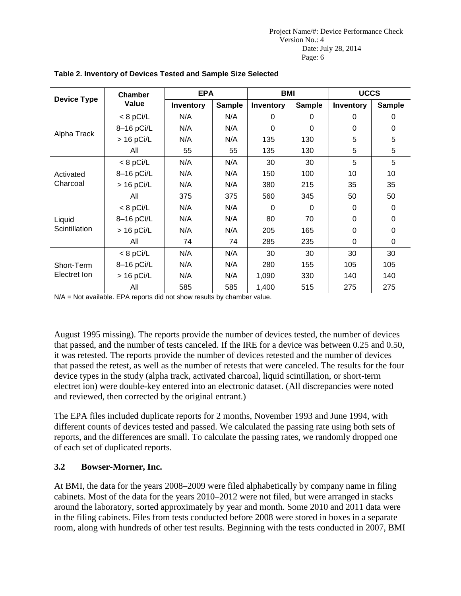|                       | Chamber      | <b>EPA</b> |               | <b>BMI</b> |               | <b>UCCS</b> |               |
|-----------------------|--------------|------------|---------------|------------|---------------|-------------|---------------|
| <b>Device Type</b>    | Value        | Inventory  | <b>Sample</b> | Inventory  | <b>Sample</b> | Inventory   | <b>Sample</b> |
|                       | $< 8$ pCi/L  | N/A        | N/A           | 0          | 0             | 0           | 0             |
|                       | 8-16 pCi/L   | N/A        | N/A           | $\Omega$   | 0             | $\Omega$    | $\Omega$      |
| Alpha Track           | $> 16$ pCi/L | N/A        | N/A           | 135        | 130           | 5           | 5             |
|                       | All          | 55         | 55            | 135        | 130           | 5           | 5             |
|                       | $< 8$ pCi/L  | N/A        | N/A           | 30         | 30            | 5           | 5             |
| Activated<br>Charcoal | 8-16 pCi/L   | N/A        | N/A           | 150        | 100           | 10          | 10            |
|                       | $> 16$ pCi/L | N/A        | N/A           | 380        | 215           | 35          | 35            |
|                       | All          | 375        | 375           | 560        | 345           | 50          | 50            |
|                       | $< 8$ pCi/L  | N/A        | N/A           | $\Omega$   | $\Omega$      | $\Omega$    | $\Omega$      |
| Liquid                | 8-16 pCi/L   | N/A        | N/A           | 80         | 70            | 0           | 0             |
| Scintillation         | $> 16$ pCi/L | N/A        | N/A           | 205        | 165           | 0           | $\Omega$      |
|                       | All          | 74         | 74            | 285        | 235           | $\Omega$    | $\Omega$      |
|                       | $< 8$ pCi/L  | N/A        | N/A           | 30         | 30            | 30          | 30            |
| Short-Term            | 8-16 pCi/L   | N/A        | N/A           | 280        | 155           | 105         | 105           |
| Electret Ion          | $> 16$ pCi/L | N/A        | N/A           | 1,090      | 330           | 140         | 140           |
|                       | All          | 585        | 585           | 1,400      | 515           | 275         | 275           |

### **Table 2. Inventory of Devices Tested and Sample Size Selected**

N/A = Not available. EPA reports did not show results by chamber value.

August 1995 missing). The reports provide the number of devices tested, the number of devices that passed, and the number of tests canceled. If the IRE for a device was between 0.25 and 0.50, it was retested. The reports provide the number of devices retested and the number of devices that passed the retest, as well as the number of retests that were canceled. The results for the four device types in the study (alpha track, activated charcoal, liquid scintillation, or short-term electret ion) were double-key entered into an electronic dataset. (All discrepancies were noted and reviewed, then corrected by the original entrant.)

The EPA files included duplicate reports for 2 months, November 1993 and June 1994, with different counts of devices tested and passed. We calculated the passing rate using both sets of reports, and the differences are small. To calculate the passing rates, we randomly dropped one of each set of duplicated reports.

### <span id="page-10-0"></span>**3.2 Bowser-Morner, Inc.**

At BMI, the data for the years 2008–2009 were filed alphabetically by company name in filing cabinets. Most of the data for the years 2010–2012 were not filed, but were arranged in stacks around the laboratory, sorted approximately by year and month. Some 2010 and 2011 data were in the filing cabinets. Files from tests conducted before 2008 were stored in boxes in a separate room, along with hundreds of other test results. Beginning with the tests conducted in 2007, BMI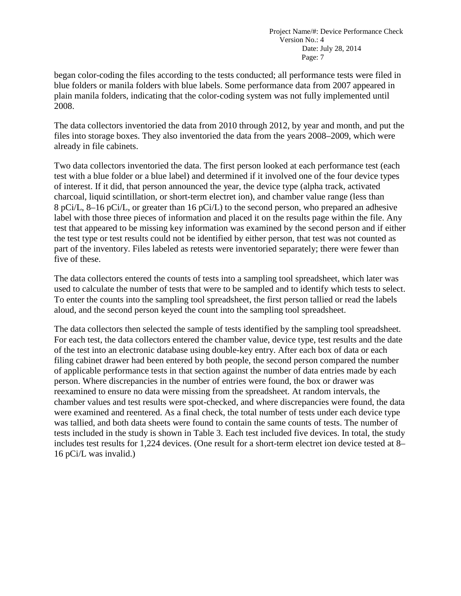began color-coding the files according to the tests conducted; all performance tests were filed in blue folders or manila folders with blue labels. Some performance data from 2007 appeared in plain manila folders, indicating that the color-coding system was not fully implemented until 2008.

The data collectors inventoried the data from 2010 through 2012, by year and month, and put the files into storage boxes. They also inventoried the data from the years 2008–2009, which were already in file cabinets.

Two data collectors inventoried the data. The first person looked at each performance test (each test with a blue folder or a blue label) and determined if it involved one of the four device types of interest. If it did, that person announced the year, the device type (alpha track, activated charcoal, liquid scintillation, or short-term electret ion), and chamber value range (less than 8 pCi/L, 8–16 pCi/L, or greater than 16 pCi/L) to the second person, who prepared an adhesive label with those three pieces of information and placed it on the results page within the file. Any test that appeared to be missing key information was examined by the second person and if either the test type or test results could not be identified by either person, that test was not counted as part of the inventory. Files labeled as retests were inventoried separately; there were fewer than five of these.

The data collectors entered the counts of tests into a sampling tool spreadsheet, which later was used to calculate the number of tests that were to be sampled and to identify which tests to select. To enter the counts into the sampling tool spreadsheet, the first person tallied or read the labels aloud, and the second person keyed the count into the sampling tool spreadsheet.

The data collectors then selected the sample of tests identified by the sampling tool spreadsheet. For each test, the data collectors entered the chamber value, device type, test results and the date of the test into an electronic database using double-key entry. After each box of data or each filing cabinet drawer had been entered by both people, the second person compared the number of applicable performance tests in that section against the number of data entries made by each person. Where discrepancies in the number of entries were found, the box or drawer was reexamined to ensure no data were missing from the spreadsheet. At random intervals, the chamber values and test results were spot-checked, and where discrepancies were found, the data were examined and reentered. As a final check, the total number of tests under each device type was tallied, and both data sheets were found to contain the same counts of tests. The number of tests included in the study is shown in Table 3. Each test included five devices. In total, the study includes test results for 1,224 devices. (One result for a short-term electret ion device tested at 8– 16 pCi/L was invalid.)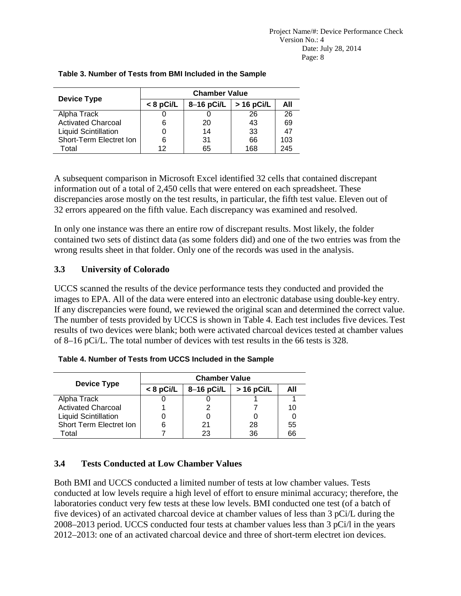| <b>Device Type</b>          | <b>Chamber Value</b> |              |                    |     |  |  |  |  |
|-----------------------------|----------------------|--------------|--------------------|-----|--|--|--|--|
|                             | $< 8$ pCi/L          | $8-16$ pCi/L | $\vert$ > 16 pCi/L | All |  |  |  |  |
| Alpha Track                 |                      |              | 26                 | 26  |  |  |  |  |
| <b>Activated Charcoal</b>   | 6                    | 20           | 43                 | 69  |  |  |  |  |
| <b>Liquid Scintillation</b> |                      | 14           | 33                 | 47  |  |  |  |  |
| Short-Term Electret Ion     | 6                    | 31           | 66                 | 103 |  |  |  |  |
| Total                       | 12                   | 65           | 168                | 245 |  |  |  |  |

### **Table 3. Number of Tests from BMI Included in the Sample**

A subsequent comparison in Microsoft Excel identified 32 cells that contained discrepant information out of a total of 2,450 cells that were entered on each spreadsheet. These discrepancies arose mostly on the test results, in particular, the fifth test value. Eleven out of 32 errors appeared on the fifth value. Each discrepancy was examined and resolved.

In only one instance was there an entire row of discrepant results. Most likely, the folder contained two sets of distinct data (as some folders did) and one of the two entries was from the wrong results sheet in that folder. Only one of the records was used in the analysis.

### <span id="page-12-0"></span>**3.3 University of Colorado**

UCCS scanned the results of the device performance tests they conducted and provided the images to EPA. All of the data were entered into an electronic database using double-key entry. If any discrepancies were found, we reviewed the original scan and determined the correct value. The number of tests provided by UCCS is shown in Table 4. Each test includes five devices.Test results of two devices were blank; both were activated charcoal devices tested at chamber values of 8–16 pCi/L. The total number of devices with test results in the 66 tests is 328.

|                             | <b>Chamber Value</b> |              |              |     |  |  |  |
|-----------------------------|----------------------|--------------|--------------|-----|--|--|--|
| <b>Device Type</b>          | $< 8$ pCi/L          | $8-16$ pCi/L | $>$ 16 pCi/L | All |  |  |  |
| Alpha Track                 |                      |              |              |     |  |  |  |
| <b>Activated Charcoal</b>   |                      |              |              | 10  |  |  |  |
| <b>Liquid Scintillation</b> |                      |              |              |     |  |  |  |
| Short Term Electret Ion     |                      | 21           | 28           | 55  |  |  |  |
| Total                       |                      |              | 36           | 66  |  |  |  |

**Table 4. Number of Tests from UCCS Included in the Sample**

# <span id="page-12-1"></span>**3.4 Tests Conducted at Low Chamber Values**

Both BMI and UCCS conducted a limited number of tests at low chamber values. Tests conducted at low levels require a high level of effort to ensure minimal accuracy; therefore, the laboratories conduct very few tests at these low levels. BMI conducted one test (of a batch of five devices) of an activated charcoal device at chamber values of less than 3 pCi/L during the 2008–2013 period. UCCS conducted four tests at chamber values less than 3 pCi/l in the years 2012–2013: one of an activated charcoal device and three of short-term electret ion devices.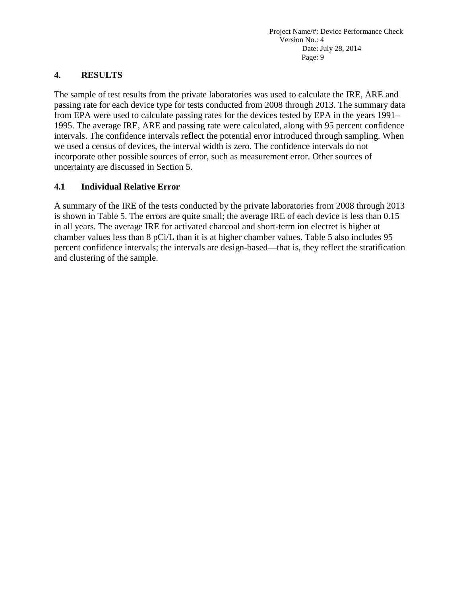### <span id="page-13-0"></span>**4. RESULTS**

The sample of test results from the private laboratories was used to calculate the IRE, ARE and passing rate for each device type for tests conducted from 2008 through 2013. The summary data from EPA were used to calculate passing rates for the devices tested by EPA in the years 1991– 1995. The average IRE, ARE and passing rate were calculated, along with 95 percent confidence intervals. The confidence intervals reflect the potential error introduced through sampling. When we used a census of devices, the interval width is zero. The confidence intervals do not incorporate other possible sources of error, such as measurement error. Other sources of uncertainty are discussed in Section 5.

### <span id="page-13-1"></span>**4.1 Individual Relative Error**

A summary of the IRE of the tests conducted by the private laboratories from 2008 through 2013 is shown in Table 5. The errors are quite small; the average IRE of each device is less than 0.15 in all years. The average IRE for activated charcoal and short-term ion electret is higher at chamber values less than 8 pCi/L than it is at higher chamber values. Table 5 also includes 95 percent confidence intervals; the intervals are design-based—that is, they reflect the stratification and clustering of the sample.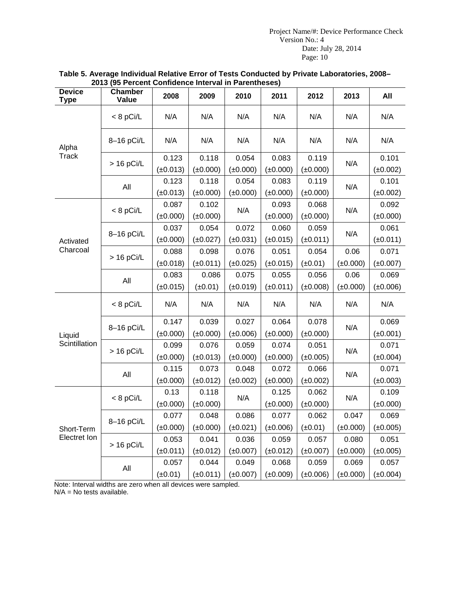| <b>Device</b><br><b>Type</b> | <b>Chamber</b><br>Value | 2008                   | 2009                   | 2010                   | 2011                   | 2012                   | 2013                   | All                    |
|------------------------------|-------------------------|------------------------|------------------------|------------------------|------------------------|------------------------|------------------------|------------------------|
|                              | $< 8$ pCi/L             | N/A                    | N/A                    | N/A                    | N/A                    | N/A                    | N/A                    | N/A                    |
| Alpha<br><b>Track</b>        | 8-16 pCi/L              | N/A                    | N/A                    | N/A                    | N/A                    | N/A                    | N/A                    | N/A                    |
|                              | $> 16$ pCi/L            | 0.123<br>$(\pm 0.013)$ | 0.118<br>$(\pm 0.000)$ | 0.054<br>$(\pm 0.000)$ | 0.083<br>$(\pm 0.000)$ | 0.119<br>$(\pm 0.000)$ | N/A                    | 0.101<br>$(\pm 0.002)$ |
|                              | All                     | 0.123<br>$(\pm 0.013)$ | 0.118<br>$(\pm 0.000)$ | 0.054<br>$(\pm 0.000)$ | 0.083<br>$(\pm 0.000)$ | 0.119<br>$(\pm 0.000)$ | N/A                    | 0.101<br>$(\pm 0.002)$ |
| Activated<br>Charcoal        | $< 8$ pCi/L             | 0.087<br>$(\pm 0.000)$ | 0.102<br>$(\pm 0.000)$ | N/A                    | 0.093<br>$(\pm 0.000)$ | 0.068<br>$(\pm 0.000)$ | N/A                    | 0.092<br>$(\pm 0.000)$ |
|                              | 8-16 pCi/L              | 0.037<br>$(\pm 0.000)$ | 0.054<br>$(\pm 0.027)$ | 0.072<br>$(\pm 0.031)$ | 0.060<br>$(\pm 0.015)$ | 0.059<br>$(\pm 0.011)$ | N/A                    | 0.061<br>$(\pm 0.011)$ |
|                              | $> 16$ pCi/L            | 0.088<br>$(\pm 0.018)$ | 0.098<br>$(\pm 0.011)$ | 0.076<br>$(\pm 0.025)$ | 0.051<br>$(\pm 0.015)$ | 0.054<br>$(\pm 0.01)$  | 0.06<br>$(\pm 0.000)$  | 0.071<br>$(\pm 0.007)$ |
|                              | All                     | 0.083<br>$(\pm 0.015)$ | 0.086<br>$(\pm 0.01)$  | 0.075<br>$(\pm 0.019)$ | 0.055<br>$(\pm 0.011)$ | 0.056<br>$(\pm 0.008)$ | 0.06<br>$(\pm 0.000)$  | 0.069<br>$(\pm 0.006)$ |
|                              | $< 8$ pCi/L             | N/A                    | N/A                    | N/A                    | N/A                    | N/A                    | N/A                    | N/A                    |
| Liquid                       | 8-16 pCi/L              | 0.147<br>$(\pm 0.000)$ | 0.039<br>$(\pm 0.000)$ | 0.027<br>$(\pm 0.006)$ | 0.064<br>$(\pm 0.000)$ | 0.078<br>$(\pm 0.000)$ | N/A                    | 0.069<br>$(\pm 0.001)$ |
| Scintillation                | $> 16$ pCi/L            | 0.099<br>$(\pm 0.000)$ | 0.076<br>$(\pm 0.013)$ | 0.059<br>$(\pm 0.000)$ | 0.074<br>$(\pm 0.000)$ | 0.051<br>$(\pm 0.005)$ | N/A                    | 0.071<br>$(\pm 0.004)$ |
|                              | All                     | 0.115<br>$(\pm 0.000)$ | 0.073<br>$(\pm 0.012)$ | 0.048<br>$(\pm 0.002)$ | 0.072<br>$(\pm 0.000)$ | 0.066<br>$(\pm 0.002)$ | N/A                    | 0.071<br>$(\pm 0.003)$ |
|                              | $< 8$ pCi/L             | 0.13<br>$(\pm 0.000)$  | 0.118<br>$(\pm 0.000)$ | N/A                    | 0.125<br>$(\pm 0.000)$ | 0.062<br>$(\pm 0.000)$ | N/A                    | 0.109<br>$(\pm 0.000)$ |
| Short-Term                   | 8-16 pCi/L              | 0.077<br>$(\pm 0.000)$ | 0.048<br>$(\pm 0.000)$ | 0.086<br>$(\pm 0.021)$ | 0.077<br>$(\pm 0.006)$ | 0.062<br>$(\pm 0.01)$  | 0.047<br>$(\pm 0.000)$ | 0.069<br>$(\pm 0.005)$ |
| Electret Ion                 | $> 16$ pCi/L            | 0.053<br>$(\pm 0.011)$ | 0.041<br>$(\pm 0.012)$ | 0.036<br>$(\pm 0.007)$ | 0.059<br>$(\pm 0.012)$ | 0.057<br>$(\pm 0.007)$ | 0.080<br>$(\pm 0.000)$ | 0.051<br>$(\pm 0.005)$ |
|                              | All                     | 0.057<br>$(\pm 0.01)$  | 0.044<br>$(\pm 0.011)$ | 0.049<br>$(\pm 0.007)$ | 0.068<br>$(\pm 0.009)$ | 0.059<br>$(\pm 0.006)$ | 0.069<br>$(\pm 0.000)$ | 0.057<br>$(\pm 0.004)$ |

#### **Table 5. Average Individual Relative Error of Tests Conducted by Private Laboratories, 2008– 2013 (95 Percent Confidence Interval in Parentheses)**

Note: Interval widths are zero when all devices were sampled. N/A = No tests available.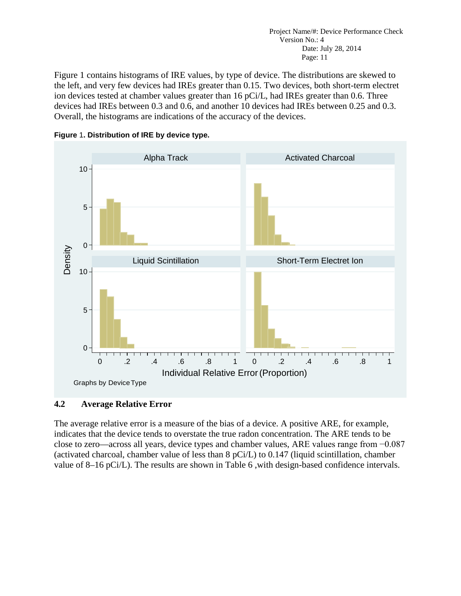Figure 1 contains histograms of IRE values, by type of device. The distributions are skewed to the left, and very few devices had IREs greater than 0.15. Two devices, both short-term electret ion devices tested at chamber values greater than 16 pCi/L, had IREs greater than 0.6. Three devices had IREs between 0.3 and 0.6, and another 10 devices had IREs between 0.25 and 0.3. Overall, the histograms are indications of the accuracy of the devices.



<span id="page-15-1"></span>**Figure** 1**. Distribution of IRE by device type.**

# <span id="page-15-0"></span>**4.2 Average Relative Error**

The average relative error is a measure of the bias of a device. A positive ARE, for example, indicates that the device tends to overstate the true radon concentration. The ARE tends to be close to zero—across all years, device types and chamber values, ARE values range from −0.087 (activated charcoal, chamber value of less than 8 pCi/L) to 0.147 (liquid scintillation, chamber value of 8–16 pCi/L). The results are shown in Table 6 ,with design-based confidence intervals.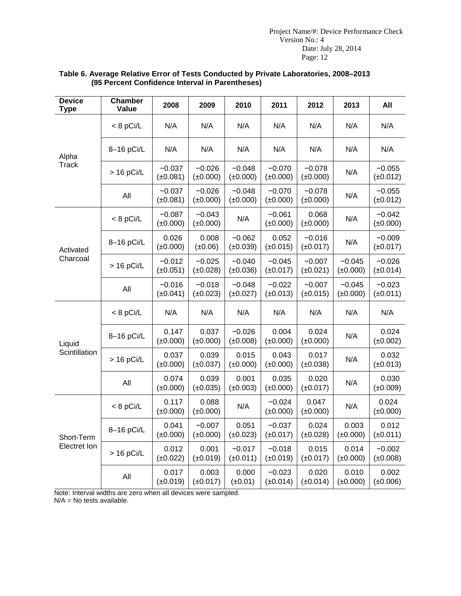| <b>Device</b><br><b>Type</b> | <b>Chamber</b><br>Value | 2008                      | 2009                      | 2010                      | 2011                      | 2012                      | 2013                      | All                       |
|------------------------------|-------------------------|---------------------------|---------------------------|---------------------------|---------------------------|---------------------------|---------------------------|---------------------------|
| Alpha                        | $< 8$ pCi/L             | N/A                       | N/A                       | N/A                       | N/A                       | N/A                       | N/A                       | N/A                       |
|                              | 8-16 pCi/L              | N/A                       | N/A                       | N/A                       | N/A                       | N/A                       | N/A                       | N/A                       |
| <b>Track</b>                 | $> 16$ pCi/L            | $-0.037$<br>$(\pm 0.081)$ | $-0.026$<br>$(\pm 0.000)$ | $-0.048$<br>$(\pm 0.000)$ | $-0.070$<br>$(\pm 0.000)$ | $-0.078$<br>$(\pm 0.000)$ | N/A                       | $-0.055$<br>$(\pm 0.012)$ |
|                              | All                     | $-0.037$<br>$(\pm 0.081)$ | $-0.026$<br>$(\pm 0.000)$ | $-0.048$<br>$(\pm 0.000)$ | $-0.070$<br>$(\pm 0.000)$ | $-0.078$<br>$(\pm 0.000)$ | N/A                       | $-0.055$<br>$(\pm 0.012)$ |
|                              | $< 8$ pCi/L             | $-0.087$<br>$(\pm 0.000)$ | $-0.043$<br>$(\pm 0.000)$ | N/A                       | $-0.061$<br>$(\pm 0.000)$ | 0.068<br>$(\pm 0.000)$    | N/A                       | $-0.042$<br>$(\pm 0.000)$ |
| Activated                    | 8-16 pCi/L              | 0.026<br>$(\pm 0.000)$    | 0.008<br>$(\pm 0.06)$     | $-0.062$<br>$(\pm 0.039)$ | 0.052<br>$(\pm 0.015)$    | $-0.016$<br>$(\pm 0.017)$ | N/A                       | $-0.009$<br>$(\pm 0.017)$ |
| Charcoal                     | $> 16$ pCi/L            | $-0.012$<br>$(\pm 0.051)$ | $-0.025$<br>$(\pm 0.028)$ | $-0.040$<br>$(\pm 0.036)$ | $-0.045$<br>$(\pm 0.017)$ | $-0.007$<br>$(\pm 0.021)$ | $-0.045$<br>$(\pm 0.000)$ | $-0.026$<br>$(\pm 0.014)$ |
|                              | All                     | $-0.016$<br>$(\pm 0.041)$ | $-0.018$<br>$(\pm 0.023)$ | $-0.048$<br>$(\pm 0.027)$ | $-0.022$<br>$(\pm 0.013)$ | $-0.007$<br>$(\pm 0.015)$ | $-0.045$<br>$(\pm 0.000)$ | $-0.023$<br>$(\pm 0.011)$ |
|                              | $< 8$ pCi/L             | N/A                       | N/A                       | N/A                       | N/A                       | N/A                       | N/A                       | N/A                       |
| Liquid                       | 8-16 pCi/L              | 0.147<br>$(\pm 0.000)$    | 0.037<br>$(\pm 0.000)$    | $-0.026$<br>$(\pm 0.008)$ | 0.004<br>$(\pm 0.000)$    | 0.024<br>$(\pm 0.000)$    | N/A                       | 0.024<br>$(\pm 0.002)$    |
| Scintillation                | $> 16$ pCi/L            | 0.037<br>$(\pm 0.000)$    | 0.039<br>$(\pm 0.037)$    | 0.015<br>$(\pm 0.000)$    | 0.043<br>$(\pm 0.000)$    | 0.017<br>$(\pm 0.038)$    | N/A                       | 0.032<br>$(\pm 0.013)$    |
|                              | All                     | 0.074<br>$(\pm 0.000)$    | 0.039<br>$(\pm 0.035)$    | 0.001<br>$(\pm 0.003)$    | 0.035<br>$(\pm 0.000)$    | 0.020<br>$(\pm 0.017)$    | N/A                       | 0.030<br>$(\pm 0.009)$    |
|                              | $< 8$ pCi/L             | 0.117<br>$(\pm 0.000)$    | 0.088<br>$(\pm 0.000)$    | N/A                       | $-0.024$<br>$(\pm 0.000)$ | 0.047<br>$(\pm 0.000)$    | N/A                       | 0.024<br>$(\pm 0.000)$    |
| Short-Term                   | 8-16 pCi/L              | 0.041<br>$(\pm 0.000)$    | $-0.007$<br>$(\pm 0.000)$ | 0.051<br>$(\pm 0.023)$    | $-0.037$<br>$(\pm 0.017)$ | 0.024<br>$(\pm 0.028)$    | 0.003<br>$(\pm 0.000)$    | 0.012<br>$(\pm 0.011)$    |
| Electret Ion                 | $> 16$ pCi/L            | 0.012<br>$(\pm 0.022)$    | 0.001<br>$(\pm 0.019)$    | $-0.017$<br>$(\pm 0.011)$ | $-0.018$<br>$(\pm 0.019)$ | 0.015<br>$(\pm 0.017)$    | 0.014<br>$(\pm 0.000)$    | $-0.002$<br>$(\pm 0.008)$ |
|                              | All                     | 0.017<br>$(\pm 0.019)$    | 0.003<br>$(\pm 0.017)$    | 0.000<br>$(\pm 0.01)$     | $-0.023$<br>$(\pm 0.014)$ | 0.020<br>$(\pm 0.014)$    | 0.010<br>$(\pm 0.000)$    | 0.002<br>$(\pm 0.006)$    |

#### **Table 6. Average Relative Error of Tests Conducted by Private Laboratories, 2008–2013 (95 Percent Confidence Interval in Parentheses)**

Note: Interval widths are zero when all devices were sampled. N/A = No tests available.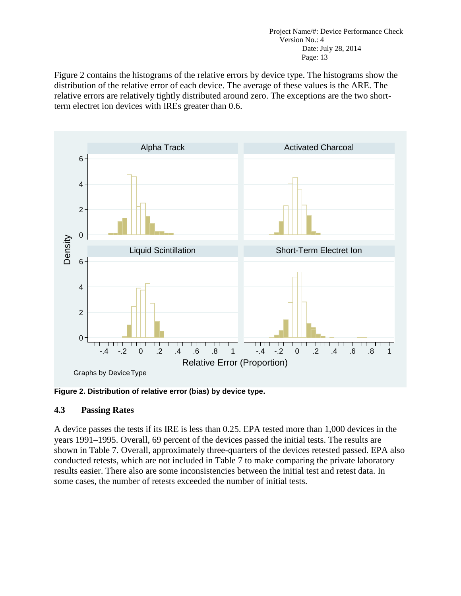Figure 2 contains the histograms of the relative errors by device type. The histograms show the distribution of the relative error of each device. The average of these values is the ARE. The relative errors are relatively tightly distributed around zero. The exceptions are the two shortterm electret ion devices with IREs greater than 0.6.



<span id="page-17-1"></span>**Figure 2. Distribution of relative error (bias) by device type.**

### <span id="page-17-0"></span>**4.3 Passing Rates**

A device passes the tests if its IRE is less than 0.25. EPA tested more than 1,000 devices in the years 1991–1995. Overall, 69 percent of the devices passed the initial tests. The results are shown in Table 7. Overall, approximately three-quarters of the devices retested passed. EPA also conducted retests, which are not included in Table 7 to make comparing the private laboratory results easier. There also are some inconsistencies between the initial test and retest data. In some cases, the number of retests exceeded the number of initial tests.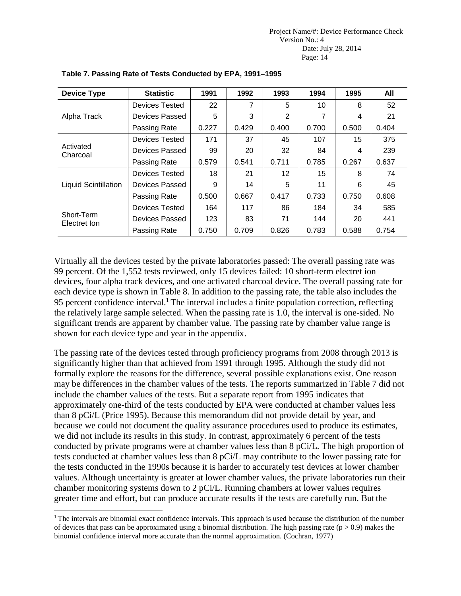| <b>Device Type</b>         | <b>Statistic</b>      | 1991  | 1992  | 1993  | 1994  | 1995  | All   |
|----------------------------|-----------------------|-------|-------|-------|-------|-------|-------|
|                            | Devices Tested        | 22    | 7     | 5     | 10    | 8     | 52    |
| Alpha Track                | Devices Passed        | 5     | 3     | 2     |       | 4     | 21    |
|                            | Passing Rate          | 0.227 | 0.429 | 0.400 | 0.700 | 0.500 | 0.404 |
|                            | <b>Devices Tested</b> | 171   | 37    | 45    | 107   | 15    | 375   |
| Activated<br>Charcoal      | Devices Passed        | 99    | 20    | 32    | 84    | 4     | 239   |
|                            | Passing Rate          | 0.579 | 0.541 | 0.711 | 0.785 | 0.267 | 0.637 |
|                            | <b>Devices Tested</b> | 18    | 21    | 12    | 15    | 8     | 74    |
| Liquid Scintillation       | Devices Passed        | 9     | 14    | 5     | 11    | 6     | 45    |
|                            | Passing Rate          | 0.500 | 0.667 | 0.417 | 0.733 | 0.750 | 0.608 |
| Short-Term<br>Electret Ion | <b>Devices Tested</b> | 164   | 117   | 86    | 184   | 34    | 585   |
|                            | Devices Passed        | 123   | 83    | 71    | 144   | 20    | 441   |
|                            | Passing Rate          | 0.750 | 0.709 | 0.826 | 0.783 | 0.588 | 0.754 |

### **Table 7. Passing Rate of Tests Conducted by EPA, 1991–1995**

Virtually all the devices tested by the private laboratories passed: The overall passing rate was 99 percent. Of the 1,552 tests reviewed, only 15 devices failed: 10 short-term electret ion devices, four alpha track devices, and one activated charcoal device. The overall passing rate for each device type is shown in Table 8. In addition to the passing rate, the table also includes the 95 percent confidence interval.<sup>1</sup> The interval includes a finite population correction, reflecting the relatively large sample selected. When the passing rate is 1.0, the interval is one-sided. No significant trends are apparent by chamber value. The passing rate by chamber value range is shown for each device type and year in the appendix.

The passing rate of the devices tested through proficiency programs from 2008 through 2013 is significantly higher than that achieved from 1991 through 1995. Although the study did not formally explore the reasons for the difference, several possible explanations exist. One reason may be differences in the chamber values of the tests. The reports summarized in Table 7 did not include the chamber values of the tests. But a separate report from 1995 indicates that approximately one-third of the tests conducted by EPA were conducted at chamber values less than 8 pCi/L (Price 1995). Because this memorandum did not provide detail by year, and because we could not document the quality assurance procedures used to produce its estimates, we did not include its results in this study. In contrast, approximately 6 percent of the tests conducted by private programs were at chamber values less than 8 pCi/L. The high proportion of tests conducted at chamber values less than 8 pCi/L may contribute to the lower passing rate for the tests conducted in the 1990s because it is harder to accurately test devices at lower chamber values. Although uncertainty is greater at lower chamber values, the private laboratories run their chamber monitoring systems down to 2 pCi/L. Running chambers at lower values requires greater time and effort, but can produce accurate results if the tests are carefully run. But the

<span id="page-18-0"></span> $1$  The intervals are binomial exact confidence intervals. This approach is used because the distribution of the number of devices that pass can be approximated using a binomial distribution. The high passing rate ( $p > 0.9$ ) makes the binomial confidence interval more accurate than the normal approximation. (Cochran, 1977)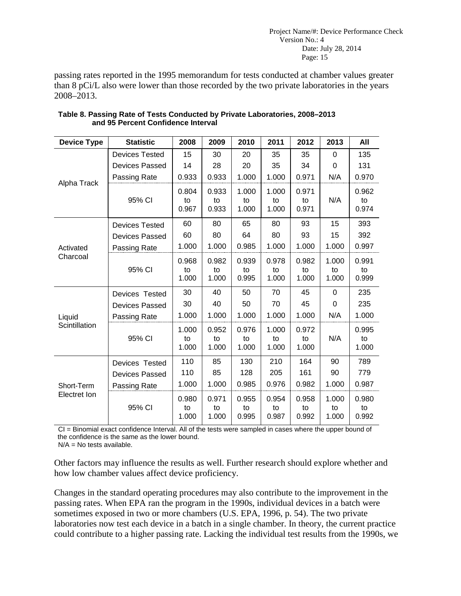passing rates reported in the 1995 memorandum for tests conducted at chamber values greater than 8 pCi/L also were lower than those recorded by the two private laboratories in the years 2008–2013.

| <b>Device Type</b>         | <b>Statistic</b>      | 2008                 | 2009                 | 2010                 | 2011                 | 2012                 | 2013                 | All                  |
|----------------------------|-----------------------|----------------------|----------------------|----------------------|----------------------|----------------------|----------------------|----------------------|
|                            | <b>Devices Tested</b> | 15                   | 30                   | 20                   | 35                   | 35                   | 0                    | 135                  |
|                            | <b>Devices Passed</b> | 14                   | 28                   | 20                   | 35                   | 34                   | 0                    | 131                  |
| Alpha Track                | Passing Rate          | 0.933                | 0.933                | 1.000                | 1.000                | 0.971                | N/A                  | 0.970                |
|                            | 95% CI                | 0.804<br>to<br>0.967 | 0.933<br>to<br>0.933 | 1.000<br>to<br>1.000 | 1.000<br>to<br>1.000 | 0.971<br>to<br>0.971 | N/A                  | 0.962<br>to<br>0.974 |
|                            | <b>Devices Tested</b> | 60                   | 80                   | 65                   | 80                   | 93                   | 15                   | 393                  |
|                            | <b>Devices Passed</b> | 60                   | 80                   | 64                   | 80                   | 93                   | 15                   | 392                  |
| Activated                  | Passing Rate          | 1.000                | 1.000                | 0.985                | 1.000                | 1.000                | 1.000                | 0.997                |
| Charcoal                   | 95% CI                | 0.968<br>to<br>1.000 | 0.982<br>to<br>1.000 | 0.939<br>to<br>0.995 | 0.978<br>to<br>1.000 | 0.982<br>to<br>1.000 | 1.000<br>to<br>1.000 | 0.991<br>to<br>0.999 |
|                            | Devices Tested        | 30                   | 40                   | 50                   | 70                   | 45                   | $\Omega$             | 235                  |
|                            | <b>Devices Passed</b> | 30                   | 40                   | 50                   | 70                   | 45                   | 0                    | 235                  |
| Liquid                     | Passing Rate          | 1.000                | 1.000                | 1.000                | 1.000                | 1.000                | N/A                  | 1.000                |
| Scintillation              | 95% CI                | 1.000<br>to<br>1.000 | 0.952<br>to<br>1.000 | 0.976<br>to<br>1.000 | 1.000<br>to<br>1.000 | 0.972<br>to<br>1.000 | N/A                  | 0.995<br>to<br>1.000 |
|                            | Devices Tested        | 110                  | 85                   | 130                  | 210                  | 164                  | 90                   | 789                  |
| Short-Term<br>Electret Ion | <b>Devices Passed</b> | 110                  | 85                   | 128                  | 205                  | 161                  | 90                   | 779                  |
|                            | Passing Rate          | 1.000                | 1.000                | 0.985                | 0.976                | 0.982                | 1.000                | 0.987                |
|                            | 95% CI                | 0.980<br>to<br>1.000 | 0.971<br>to<br>1.000 | 0.955<br>to<br>0.995 | 0.954<br>to<br>0.987 | 0.958<br>to<br>0.992 | 1.000<br>to<br>1.000 | 0.980<br>to<br>0.992 |

| Table 8. Passing Rate of Tests Conducted by Private Laboratories, 2008–2013 |  |
|-----------------------------------------------------------------------------|--|
| and 95 Percent Confidence Interval                                          |  |

CI = Binomial exact confidence Interval. All of the tests were sampled in cases where the upper bound of the confidence is the same as the lower bound.

 $N/A = No$  tests available.

Other factors may influence the results as well. Further research should explore whether and how low chamber values affect device proficiency.

Changes in the standard operating procedures may also contribute to the improvement in the passing rates. When EPA ran the program in the 1990s, individual devices in a batch were sometimes exposed in two or more chambers (U.S. EPA, 1996, p. 54). The two private laboratories now test each device in a batch in a single chamber. In theory, the current practice could contribute to a higher passing rate. Lacking the individual test results from the 1990s, we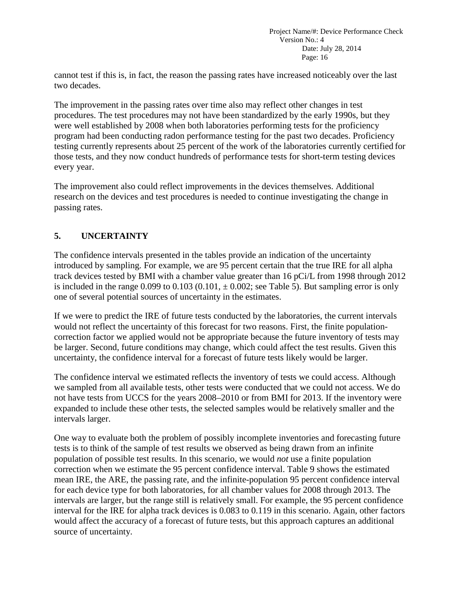cannot test if this is, in fact, the reason the passing rates have increased noticeably over the last two decades.

The improvement in the passing rates over time also may reflect other changes in test procedures. The test procedures may not have been standardized by the early 1990s, but they were well established by 2008 when both laboratories performing tests for the proficiency program had been conducting radon performance testing for the past two decades. Proficiency testing currently represents about 25 percent of the work of the laboratories currently certified for those tests, and they now conduct hundreds of performance tests for short-term testing devices every year.

The improvement also could reflect improvements in the devices themselves. Additional research on the devices and test procedures is needed to continue investigating the change in passing rates.

# <span id="page-20-0"></span>**5. UNCERTAINTY**

The confidence intervals presented in the tables provide an indication of the uncertainty introduced by sampling. For example, we are 95 percent certain that the true IRE for all alpha track devices tested by BMI with a chamber value greater than 16 pCi/L from 1998 through 2012 is included in the range 0.099 to 0.103 (0.101,  $\pm$  0.002; see Table 5). But sampling error is only one of several potential sources of uncertainty in the estimates.

If we were to predict the IRE of future tests conducted by the laboratories, the current intervals would not reflect the uncertainty of this forecast for two reasons. First, the finite populationcorrection factor we applied would not be appropriate because the future inventory of tests may be larger. Second, future conditions may change, which could affect the test results. Given this uncertainty, the confidence interval for a forecast of future tests likely would be larger.

The confidence interval we estimated reflects the inventory of tests we could access. Although we sampled from all available tests, other tests were conducted that we could not access. We do not have tests from UCCS for the years 2008–2010 or from BMI for 2013. If the inventory were expanded to include these other tests, the selected samples would be relatively smaller and the intervals larger.

One way to evaluate both the problem of possibly incomplete inventories and forecasting future tests is to think of the sample of test results we observed as being drawn from an infinite population of possible test results. In this scenario, we would *not* use a finite population correction when we estimate the 95 percent confidence interval. Table 9 shows the estimated mean IRE, the ARE, the passing rate, and the infinite-population 95 percent confidence interval for each device type for both laboratories, for all chamber values for 2008 through 2013. The intervals are larger, but the range still is relatively small. For example, the 95 percent confidence interval for the IRE for alpha track devices is 0.083 to 0.119 in this scenario. Again, other factors would affect the accuracy of a forecast of future tests, but this approach captures an additional source of uncertainty.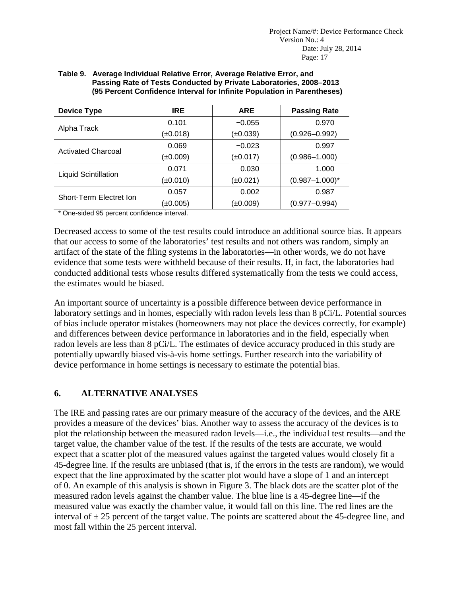| <b>Device Type</b>          | <b>IRE</b>    | <b>ARE</b>    | <b>Passing Rate</b> |  |
|-----------------------------|---------------|---------------|---------------------|--|
|                             | 0.101         | $-0.055$      | 0.970               |  |
| Alpha Track                 | $(\pm 0.018)$ | $(\pm 0.039)$ | $(0.926 - 0.992)$   |  |
| <b>Activated Charcoal</b>   | 0.069         | $-0.023$      | 0.997               |  |
|                             | ±0.009)       | (±0.017)      | $(0.986 - 1.000)$   |  |
|                             | 0.071         | 0.030         | 1.000               |  |
| <b>Liquid Scintillation</b> | ±0.010)       | (±0.021)      | $(0.987 - 1.000)^*$ |  |
| Short-Term Electret Ion     | 0.057         | 0.002         | 0.987               |  |
|                             | $(\pm 0.005)$ | (±0.009)      | $(0.977 - 0.994)$   |  |

#### **Table 9. Average Individual Relative Error, Average Relative Error, and Passing Rate of Tests Conducted by Private Laboratories, 2008–2013 (95 Percent Confidence Interval for Infinite Population in Parentheses)**

\* One-sided 95 percent confidence interval.

Decreased access to some of the test results could introduce an additional source bias. It appears that our access to some of the laboratories' test results and not others was random, simply an artifact of the state of the filing systems in the laboratories—in other words, we do not have evidence that some tests were withheld because of their results. If, in fact, the laboratories had conducted additional tests whose results differed systematically from the tests we could access, the estimates would be biased.

An important source of uncertainty is a possible difference between device performance in laboratory settings and in homes, especially with radon levels less than 8 pCi/L. Potential sources of bias include operator mistakes (homeowners may not place the devices correctly, for example) and differences between device performance in laboratories and in the field, especially when radon levels are less than 8 pCi/L. The estimates of device accuracy produced in this study are potentially upwardly biased vis-à-vis home settings. Further research into the variability of device performance in home settings is necessary to estimate the potential bias.

### <span id="page-21-0"></span>**6. ALTERNATIVE ANALYSES**

The IRE and passing rates are our primary measure of the accuracy of the devices, and the ARE provides a measure of the devices' bias. Another way to assess the accuracy of the devices is to plot the relationship between the measured radon levels—i.e., the individual test results—and the target value, the chamber value of the test. If the results of the tests are accurate, we would expect that a scatter plot of the measured values against the targeted values would closely fit a 45-degree line. If the results are unbiased (that is, if the errors in the tests are random), we would expect that the line approximated by the scatter plot would have a slope of 1 and an intercept of 0. An example of this analysis is shown in Figure 3. The black dots are the scatter plot of the measured radon levels against the chamber value. The blue line is a 45-degree line—if the measured value was exactly the chamber value, it would fall on this line. The red lines are the interval of  $\pm 25$  percent of the target value. The points are scattered about the 45-degree line, and most fall within the 25 percent interval.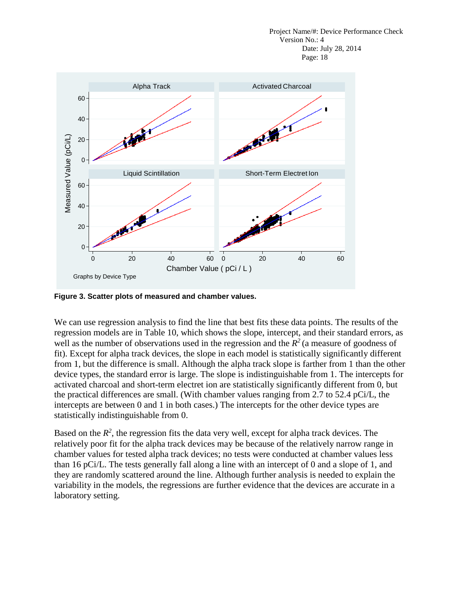

<span id="page-22-0"></span>**Figure 3. Scatter plots of measured and chamber values.**

We can use regression analysis to find the line that best fits these data points. The results of the regression models are in Table 10, which shows the slope, intercept, and their standard errors, as well as the number of observations used in the regression and the  $R^2$  (a measure of goodness of fit). Except for alpha track devices, the slope in each model is statistically significantly different from 1, but the difference is small. Although the alpha track slope is farther from 1 than the other device types, the standard error is large. The slope is indistinguishable from 1. The intercepts for activated charcoal and short-term electret ion are statistically significantly different from 0, but the practical differences are small. (With chamber values ranging from 2.7 to 52.4 pCi/L, the intercepts are between 0 and 1 in both cases.) The intercepts for the other device types are statistically indistinguishable from 0.

Based on the  $R^2$ , the regression fits the data very well, except for alpha track devices. The relatively poor fit for the alpha track devices may be because of the relatively narrow range in chamber values for tested alpha track devices; no tests were conducted at chamber values less than 16 pCi/L. The tests generally fall along a line with an intercept of 0 and a slope of 1, and they are randomly scattered around the line. Although further analysis is needed to explain the variability in the models, the regressions are further evidence that the devices are accurate in a laboratory setting.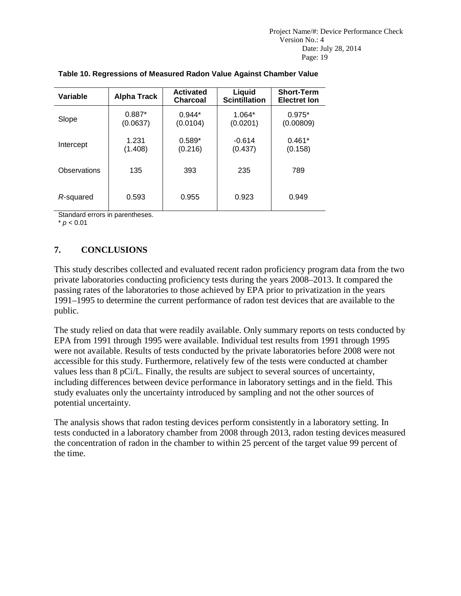| Variable     | <b>Alpha Track</b>   | <b>Activated</b><br><b>Charcoal</b> | Liquid<br><b>Scintillation</b> | <b>Short-Term</b><br><b>Electret lon</b> |
|--------------|----------------------|-------------------------------------|--------------------------------|------------------------------------------|
| Slope        | $0.887*$<br>(0.0637) | $0.944*$<br>(0.0104)                | $1.064*$<br>(0.0201)           | $0.975*$<br>(0.00809)                    |
| Intercept    | 1.231<br>(1.408)     | $0.589*$<br>(0.216)                 | $-0.614$<br>(0.437)            | $0.461*$<br>(0.158)                      |
| Observations | 135                  | 393                                 | 235                            | 789                                      |
| R-squared    | 0.593                | 0.955                               | 0.923                          | 0.949                                    |

### **Table 10. Regressions of Measured Radon Value Against Chamber Value**

Standard errors in parentheses.

 $*$   $p < 0.01$ 

# <span id="page-23-0"></span>**7. CONCLUSIONS**

This study describes collected and evaluated recent radon proficiency program data from the two private laboratories conducting proficiency tests during the years 2008–2013. It compared the passing rates of the laboratories to those achieved by EPA prior to privatization in the years 1991–1995 to determine the current performance of radon test devices that are available to the public.

The study relied on data that were readily available. Only summary reports on tests conducted by EPA from 1991 through 1995 were available. Individual test results from 1991 through 1995 were not available. Results of tests conducted by the private laboratories before 2008 were not accessible for this study. Furthermore, relatively few of the tests were conducted at chamber values less than 8 pCi/L. Finally, the results are subject to several sources of uncertainty, including differences between device performance in laboratory settings and in the field. This study evaluates only the uncertainty introduced by sampling and not the other sources of potential uncertainty.

The analysis shows that radon testing devices perform consistently in a laboratory setting. In tests conducted in a laboratory chamber from 2008 through 2013, radon testing devices measured the concentration of radon in the chamber to within 25 percent of the target value 99 percent of the time.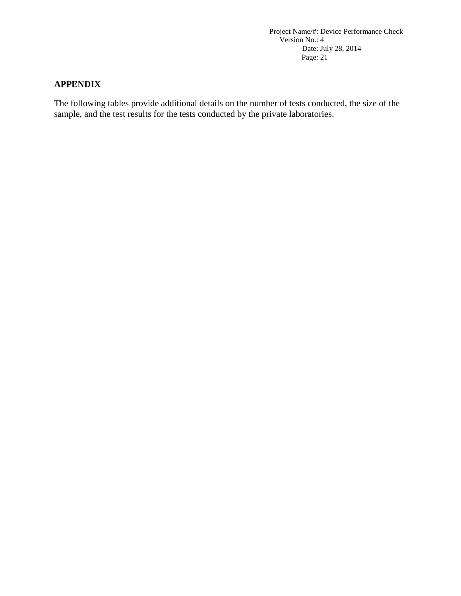### <span id="page-24-0"></span>**APPENDIX**

The following tables provide additional details on the number of tests conducted, the size of the sample, and the test results for the tests conducted by the private laboratories.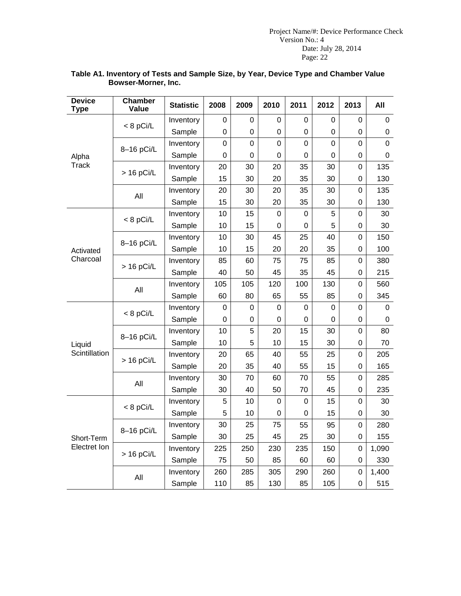| <b>Device</b><br><b>Type</b> | <b>Chamber</b><br>Value | <b>Statistic</b> | 2008           | 2009        | 2010           | 2011        | 2012           | 2013           | All              |
|------------------------------|-------------------------|------------------|----------------|-------------|----------------|-------------|----------------|----------------|------------------|
|                              | $< 8$ pCi/L             | Inventory        | 0              | 0           | $\Omega$       | $\Omega$    | 0              | 0              | 0                |
|                              |                         | Sample           | 0              | 0           | 0              | 0           | 0              | 0              | 0                |
|                              |                         | Inventory        | $\overline{0}$ | $\mathbf 0$ | 0              | $\mathbf 0$ | $\overline{0}$ | $\mathbf 0$    | $\mathbf 0$      |
| Alpha                        | 8-16 pCi/L              | Sample           | $\overline{0}$ | $\mathbf 0$ | 0              | 0           | $\overline{0}$ | 0              | $\mathbf 0$      |
| <b>Track</b>                 | $> 16$ pCi/L            | Inventory        | 20             | 30          | 20             | 35          | 30             | $\overline{0}$ | 135              |
|                              |                         | Sample           | 15             | 30          | 20             | 35          | 30             | $\mathbf 0$    | 130              |
|                              | All                     | Inventory        | 20             | 30          | 20             | 35          | 30             | 0              | 135              |
|                              |                         | Sample           | 15             | 30          | 20             | 35          | 30             | 0              | 130              |
|                              |                         | Inventory        | 10             | 15          | 0              | 0           | 5              | 0              | 30               |
|                              | $< 8$ pCi/L             | Sample           | 10             | 15          | 0              | 0           | 5              | 0              | 30               |
|                              |                         | Inventory        | 10             | 30          | 45             | 25          | 40             | 0              | 150              |
| Activated                    | 8-16 pCi/L              | Sample           | 10             | 15          | 20             | 20          | 35             | 0              | 100              |
| Charcoal                     |                         | Inventory        | 85             | 60          | 75             | 75          | 85             | 0              | 380              |
|                              | $> 16$ pCi/L            | Sample           | 40             | 50          | 45             | 35          | 45             | $\mathbf 0$    | 215              |
|                              | All                     | Inventory        | 105            | 105         | 120            | 100         | 130            | $\overline{0}$ | 560              |
|                              |                         | Sample           | 60             | 80          | 65             | 55          | 85             | 0              | 345              |
|                              | $< 8$ pCi/L             | Inventory        | $\overline{0}$ | 0           | $\mathbf 0$    | $\mathbf 0$ | $\overline{0}$ | $\overline{0}$ | 0                |
|                              |                         | Sample           | 0              | 0           | 0              | 0           | 0              | 0              | $\boldsymbol{0}$ |
|                              |                         | Inventory        | 10             | 5           | 20             | 15          | 30             | $\overline{0}$ | 80               |
| Liquid                       | 8-16 pCi/L              | Sample           | 10             | 5           | 10             | 15          | 30             | $\mathbf 0$    | 70               |
| Scintillation                |                         | Inventory        | 20             | 65          | 40             | 55          | 25             | 0              | 205              |
|                              | $> 16$ pCi/L            | Sample           | 20             | 35          | 40             | 55          | 15             | $\mathbf 0$    | 165              |
|                              | All                     | Inventory        | 30             | 70          | 60             | 70          | 55             | $\mathbf 0$    | 285              |
|                              |                         | Sample           | 30             | 40          | 50             | 70          | 45             | 0              | 235              |
|                              |                         | Inventory        | 5              | 10          | 0              | $\mathbf 0$ | 15             | 0              | 30               |
|                              | $< 8$ pCi/L             | Sample           | 5              | 10          | $\overline{0}$ | 0           | 15             | $\mathbf 0$    | 30               |
|                              |                         | Inventory        | 30             | 25          | 75             | 55          | 95             | $\overline{0}$ | 280              |
| Short-Term                   | 8-16 pCi/L              | Sample           | 30             | 25          | 45             | 25          | 30             | $\mathbf 0$    | 155              |
| Electret Ion                 |                         | Inventory        | 225            | 250         | 230            | 235         | 150            | 0              | 1,090            |
|                              | $> 16$ pCi/L            | Sample           | 75             | 50          | 85             | 60          | 60             | 0              | 330              |
|                              |                         | Inventory        | 260            | 285         | 305            | 290         | 260            | 0              | 1,400            |
|                              | All                     | Sample           | 110            | 85          | 130            | 85          | 105            | 0              | 515              |

#### **Table A1. Inventory of Tests and Sample Size, by Year, Device Type and Chamber Value Bowser-Morner, Inc.**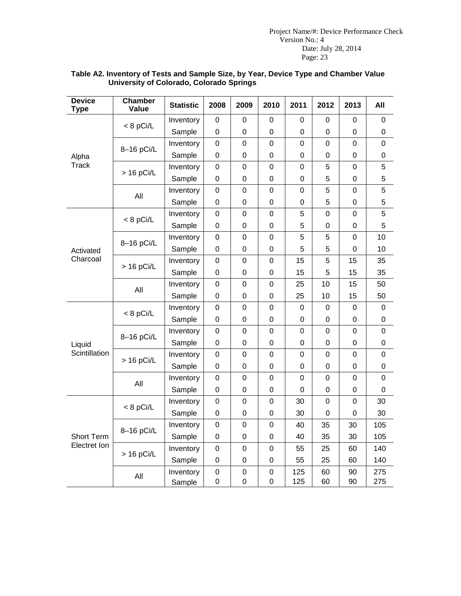| <b>Device</b><br><b>Type</b> | <b>Chamber</b><br>Value | <b>Statistic</b>    | 2008             | 2009                            | 2010                       | 2011             | 2012           | 2013             | All            |
|------------------------------|-------------------------|---------------------|------------------|---------------------------------|----------------------------|------------------|----------------|------------------|----------------|
|                              |                         | Inventory           | 0                | 0                               | 0                          | 0                | 0              | 0                | 0              |
|                              | $< 8$ pCi/L             | Sample              | 0                | 0                               | 0                          | 0                | 0              | $\boldsymbol{0}$ | $\mathbf 0$    |
|                              |                         | Inventory           | 0                | 0                               | 0                          | 0                | 0              | 0                | $\mathbf 0$    |
| Alpha                        | 8-16 pCi/L              | Sample              | 0                | 0                               | 0                          | 0                | 0              | 0                | $\mathbf 0$    |
| <b>Track</b>                 | $> 16$ pCi/L            | Inventory           | $\boldsymbol{0}$ | $\mathbf 0$                     | $\boldsymbol{0}$           | $\mathsf 0$      | 5              | $\mathbf 0$      | 5              |
|                              |                         | Sample              | 0                | $\boldsymbol{0}$                | $\boldsymbol{0}$           | 0                | 5              | $\boldsymbol{0}$ | 5              |
|                              | All                     | Inventory           | $\mathbf 0$      | $\mathbf 0$                     | $\mathbf 0$                | 0                | 5              | $\overline{0}$   | 5              |
|                              |                         | Sample              | 0                | 0                               | $\overline{0}$             | $\mathbf 0$      | 5              | $\overline{0}$   | 5              |
|                              | $< 8$ pCi/L             | Inventory           | 0                | $\mathbf 0$                     | $\mathbf 0$                | 5                | $\overline{0}$ | 0                | 5              |
|                              |                         | Sample              | 0                | $\mathbf 0$                     | $\mathbf 0$                | 5                | 0              | 0                | 5              |
|                              |                         | Inventory           | 0                | $\mathbf 0$                     | 0                          | 5                | 5              | 0                | 10             |
| Activated                    | 8-16 pCi/L              | Sample              | 0                | 0                               | 0                          | 5                | 5              | 0                | 10             |
| Charcoal                     | $> 16$ pCi/L            | Inventory           | $\boldsymbol{0}$ | $\boldsymbol{0}$                | $\boldsymbol{0}$           | 15               | 5              | 15               | 35             |
|                              |                         | Sample              | 0                | $\boldsymbol{0}$                | $\mathbf 0$                | 15               | 5              | 15               | 35             |
|                              | All                     | Inventory           | $\mathbf 0$      | $\mathbf 0$                     | $\mathbf 0$                | 25               | 10             | 15               | 50             |
|                              |                         | Sample              | $\boldsymbol{0}$ | $\mathbf 0$                     | $\mathbf 0$                | 25               | 10             | 15               | 50             |
|                              | $< 8$ pCi/L             | Inventory           | $\boldsymbol{0}$ | $\overline{0}$                  | $\mathbf 0$                | 0                | 0              | 0                | 0              |
|                              |                         | Sample              | $\boldsymbol{0}$ | $\boldsymbol{0}$                | $\boldsymbol{0}$           | 0                | 0              | 0                | $\mathbf 0$    |
|                              | 8-16 pCi/L              | Inventory           | $\boldsymbol{0}$ | 0                               | $\mathbf 0$                | $\overline{0}$   | 0              | $\mathbf 0$      | 0              |
| Liquid                       |                         | Sample              | $\boldsymbol{0}$ | $\boldsymbol{0}$                | $\boldsymbol{0}$           | 0                | 0              | $\boldsymbol{0}$ | $\mathbf 0$    |
| Scintillation                | $> 16$ pCi/L            | Inventory           | $\mathbf 0$      | 0                               | $\mathbf 0$                | 0                | 0              | $\overline{0}$   | $\overline{0}$ |
|                              |                         | Sample              | 0                | 0                               | $\boldsymbol{0}$           | $\boldsymbol{0}$ | 0              | $\boldsymbol{0}$ | 0              |
|                              | All                     | Inventory           | 0                | 0                               | $\mathbf 0$                | $\mathbf 0$      | 0              | $\mathbf 0$      | $\mathbf 0$    |
|                              |                         | Sample              | $\boldsymbol{0}$ | $\boldsymbol{0}$                | $\boldsymbol{0}$           | 0                | 0              | $\boldsymbol{0}$ | 0              |
|                              | $< 8$ pCi/L             | Inventory           | $\mathbf 0$      | 0                               | $\mathbf 0$                | 30               | 0              | $\mathbf 0$      | 30             |
|                              |                         | Sample              | $\boldsymbol{0}$ | $\mathbf 0$                     | $\boldsymbol{0}$           | 30               | 0              | $\overline{0}$   | 30             |
|                              | 8-16 pCi/L              | Inventory           | 0                | 0                               | $\boldsymbol{0}$           | 40               | 35             | 30               | 105            |
| Short Term                   |                         | Sample              | 0                | 0                               | 0                          | 40               | 35             | 30               | 105            |
| Electret Ion                 | $> 16$ pCi/L            | Inventory           | $\boldsymbol{0}$ | $\mathbf 0$                     | $\boldsymbol{0}$           | 55               | 25             | 60               | 140            |
|                              |                         | Sample              | $\boldsymbol{0}$ | $\boldsymbol{0}$                | $\boldsymbol{0}$           | 55               | 25             | 60               | 140            |
|                              | All                     | Inventory<br>Sample | $\mathbf 0$<br>0 | $\mathbf 0$<br>$\boldsymbol{0}$ | $\mathbf 0$<br>$\mathbf 0$ | 125<br>125       | 60<br>60       | 90<br>90         | 275<br>275     |

#### **Table A2. Inventory of Tests and Sample Size, by Year, Device Type and Chamber Value University of Colorado, Colorado Springs**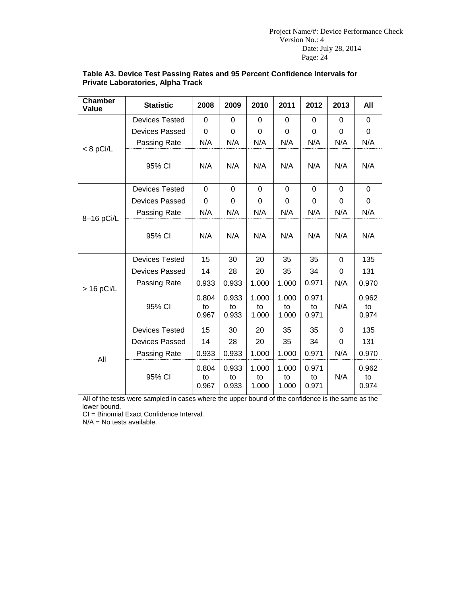| <b>Chamber</b><br>Value | <b>Statistic</b>      | 2008                 | 2009                 | 2010                 | 2011                 | 2012                 | 2013           | All                  |
|-------------------------|-----------------------|----------------------|----------------------|----------------------|----------------------|----------------------|----------------|----------------------|
|                         | <b>Devices Tested</b> | 0                    | $\mathbf 0$          | $\overline{0}$       | $\mathbf 0$          | 0                    | $\overline{0}$ | $\overline{0}$       |
|                         | Devices Passed        | $\Omega$             | 0                    | 0                    | $\Omega$             | $\Omega$             | $\Omega$       | 0                    |
|                         | Passing Rate          | N/A                  | N/A                  | N/A                  | N/A                  | N/A                  | N/A            | N/A                  |
| $< 8$ pCi/L             | 95% CI                | N/A                  | N/A                  | N/A                  | N/A                  | N/A                  | N/A            | N/A                  |
|                         | <b>Devices Tested</b> | $\Omega$             | $\Omega$             | $\Omega$             | $\Omega$             | $\Omega$             | $\Omega$       | $\Omega$             |
|                         | Devices Passed        | $\Omega$             | $\mathbf 0$          | 0                    | $\Omega$             | 0                    | 0              | 0                    |
| 8-16 pCi/L              | Passing Rate          | N/A                  | N/A                  | N/A                  | N/A                  | N/A                  | N/A            | N/A                  |
|                         | 95% CI                | N/A                  | N/A                  | N/A                  | N/A                  | N/A                  | N/A            | N/A                  |
|                         | <b>Devices Tested</b> | 15                   | 30                   | 20                   | 35                   | 35                   | $\overline{0}$ | 135                  |
|                         | <b>Devices Passed</b> | 14                   | 28                   | 20                   | 35                   | 34                   | $\mathbf 0$    | 131                  |
|                         | Passing Rate          | 0.933                | 0.933                | 1.000                | 1.000                | 0.971                | N/A            | 0.970                |
| $> 16$ pCi/L            | 95% CI                | 0.804<br>to<br>0.967 | 0.933<br>to<br>0.933 | 1.000<br>to<br>1.000 | 1.000<br>to<br>1.000 | 0.971<br>to<br>0.971 | N/A            | 0.962<br>to<br>0.974 |
|                         | <b>Devices Tested</b> | 15                   | 30                   | 20                   | 35                   | 35                   | $\mathbf 0$    | 135                  |
|                         | <b>Devices Passed</b> | 14                   | 28                   | 20                   | 35                   | 34                   | 0              | 131                  |
|                         | Passing Rate          | 0.933                | 0.933                | 1.000                | 1.000                | 0.971                | N/A            | 0.970                |
| All                     | 95% CI                | 0.804<br>to<br>0.967 | 0.933<br>to<br>0.933 | 1.000<br>to<br>1.000 | 1.000<br>to<br>1.000 | 0.971<br>to<br>0.971 | N/A            | 0.962<br>to<br>0.974 |

#### **Table A3. Device Test Passing Rates and 95 Percent Confidence Intervals for Private Laboratories, Alpha Track**

All of the tests were sampled in cases where the upper bound of the confidence is the same as the lower bound.

CI = Binomial Exact Confidence Interval.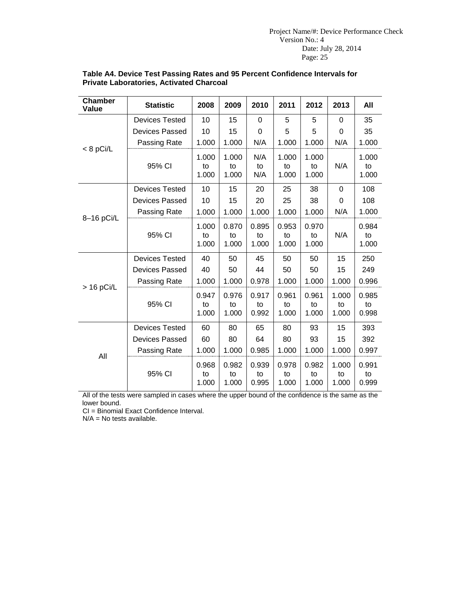| <b>Chamber</b><br>Value | <b>Statistic</b>      | 2008                 | 2009                 | 2010                 | 2011                 | 2012                 | 2013                 | All                  |
|-------------------------|-----------------------|----------------------|----------------------|----------------------|----------------------|----------------------|----------------------|----------------------|
|                         | <b>Devices Tested</b> | 10                   | 15                   | 0                    | 5                    | 5                    | $\mathbf 0$          | 35                   |
|                         | <b>Devices Passed</b> | 10                   | 15                   | 0                    | 5                    | 5                    | 0                    | 35                   |
|                         | Passing Rate          | 1.000                | 1.000                | N/A                  | 1.000                | 1.000                | N/A                  | 1.000                |
| $< 8$ pCi/L             | 95% CI                | 1.000<br>to<br>1.000 | 1.000<br>to<br>1.000 | N/A<br>to<br>N/A     | 1.000<br>to<br>1.000 | 1.000<br>to<br>1.000 | N/A                  | 1.000<br>to<br>1.000 |
|                         | <b>Devices Tested</b> | 10                   | 15                   | 20                   | 25                   | 38                   | 0                    | 108                  |
|                         | <b>Devices Passed</b> | 10                   | 15                   | 20                   | 25                   | 38                   | 0                    | 108                  |
|                         | Passing Rate          | 1.000                | 1.000                | 1.000                | 1.000                | 1.000                | N/A                  | 1.000                |
| 8-16 pCi/L              | 95% CI                | 1.000<br>to<br>1.000 | 0.870<br>to<br>1.000 | 0.895<br>to<br>1.000 | 0.953<br>to<br>1.000 | 0.970<br>to<br>1.000 | N/A                  | 0.984<br>to<br>1.000 |
|                         | <b>Devices Tested</b> | 40                   | 50                   | 45                   | 50                   | 50                   | 15                   | 250                  |
|                         | <b>Devices Passed</b> | 40                   | 50                   | 44                   | 50                   | 50                   | 15                   | 249                  |
|                         | Passing Rate          | 1.000                | 1.000                | 0.978                | 1.000                | 1.000                | 1.000                | 0.996                |
| $> 16$ pCi/L            | 95% CI                | 0.947<br>to<br>1.000 | 0.976<br>to<br>1.000 | 0.917<br>to<br>0.992 | 0.961<br>to<br>1.000 | 0.961<br>to<br>1.000 | 1.000<br>to<br>1.000 | 0.985<br>to<br>0.998 |
|                         | <b>Devices Tested</b> | 60                   | 80                   | 65                   | 80                   | 93                   | 15                   | 393                  |
|                         | <b>Devices Passed</b> | 60                   | 80                   | 64                   | 80                   | 93                   | 15                   | 392                  |
| All                     | Passing Rate          | 1.000                | 1.000                | 0.985                | 1.000                | 1.000                | 1.000                | 0.997                |
|                         | 95% CI                | 0.968<br>to<br>1.000 | 0.982<br>to<br>1.000 | 0.939<br>to<br>0.995 | 0.978<br>to<br>1.000 | 0.982<br>to<br>1.000 | 1.000<br>to<br>1.000 | 0.991<br>to<br>0.999 |

#### **Table A4. Device Test Passing Rates and 95 Percent Confidence Intervals for Private Laboratories, Activated Charcoal**

All of the tests were sampled in cases where the upper bound of the confidence is the same as the lower bound.

CI = Binomial Exact Confidence Interval.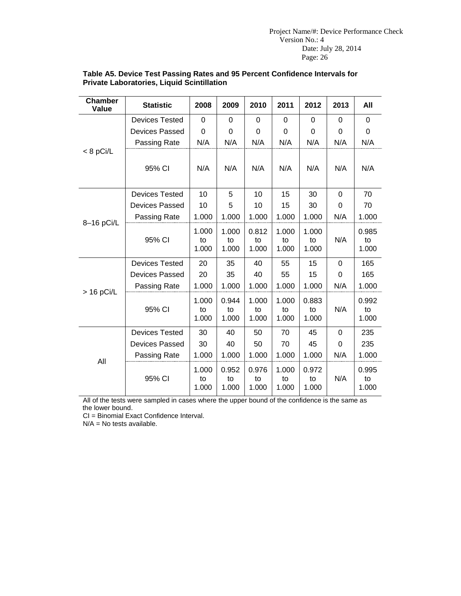| <b>Chamber</b><br>Value | <b>Statistic</b>      | 2008                 | 2009                 | 2010                 | 2011                 | 2012                 | 2013        | All                  |
|-------------------------|-----------------------|----------------------|----------------------|----------------------|----------------------|----------------------|-------------|----------------------|
|                         | <b>Devices Tested</b> | 0                    | $\mathbf 0$          | 0                    | 0                    | 0                    | 0           | $\mathbf 0$          |
|                         | <b>Devices Passed</b> | 0                    | $\Omega$             | 0                    | 0                    | 0                    | 0           | 0                    |
|                         | Passing Rate          | N/A                  | N/A                  | N/A                  | N/A                  | N/A                  | N/A         | N/A                  |
| $< 8$ pCi/L             | 95% CI                | N/A                  | N/A                  | N/A                  | N/A                  | N/A                  | N/A         | N/A                  |
|                         | <b>Devices Tested</b> | 10                   | 5                    | 10                   | 15                   | 30                   | $\Omega$    | 70                   |
| 8-16 pCi/L              | Devices Passed        | 10                   | 5                    | 10                   | 15                   | 30                   | $\mathbf 0$ | 70                   |
|                         | Passing Rate          | 1.000                | 1.000                | 1.000                | 1.000                | 1.000                | N/A         | 1.000                |
|                         | 95% CI                | 1.000<br>to<br>1.000 | 1.000<br>to<br>1.000 | 0.812<br>to<br>1.000 | 1.000<br>to<br>1.000 | 1.000<br>to<br>1.000 | N/A         | 0.985<br>to<br>1.000 |
|                         | <b>Devices Tested</b> | 20                   | 35                   | 40                   | 55                   | 15                   | 0           | 165                  |
|                         | <b>Devices Passed</b> | 20                   | 35                   | 40                   | 55                   | 15                   | $\mathbf 0$ | 165                  |
|                         | Passing Rate          | 1.000                | 1.000                | 1.000                | 1.000                | 1.000                | N/A         | 1.000                |
| $>$ 16 pCi/L            | 95% CI                | 1.000<br>to<br>1.000 | 0.944<br>to<br>1.000 | 1.000<br>to<br>1.000 | 1.000<br>to<br>1.000 | 0.883<br>to<br>1.000 | N/A         | 0.992<br>to<br>1.000 |
|                         | <b>Devices Tested</b> | 30                   | 40                   | 50                   | 70                   | 45                   | 0           | 235                  |
|                         | <b>Devices Passed</b> | 30                   | 40                   | 50                   | 70                   | 45                   | $\mathbf 0$ | 235                  |
| All                     | Passing Rate          | 1.000                | 1.000                | 1.000                | 1.000                | 1.000                | N/A         | 1.000                |
|                         | 95% CI                | 1.000<br>to<br>1.000 | 0.952<br>to<br>1.000 | 0.976<br>to<br>1.000 | 1.000<br>to<br>1.000 | 0.972<br>to<br>1.000 | N/A         | 0.995<br>to<br>1.000 |

#### **Table A5. Device Test Passing Rates and 95 Percent Confidence Intervals for Private Laboratories, Liquid Scintillation**

All of the tests were sampled in cases where the upper bound of the confidence is the same as the lower bound.

CI = Binomial Exact Confidence Interval.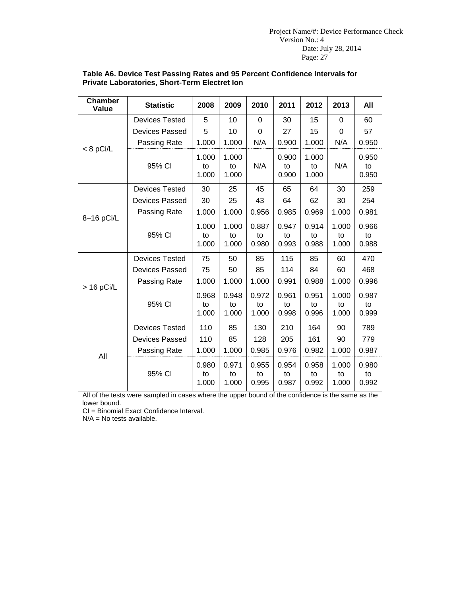| <b>Chamber</b><br>Value | <b>Statistic</b>      | 2008                 | 2009                 | 2010                 | 2011                 | 2012                 | 2013                 | All                  |
|-------------------------|-----------------------|----------------------|----------------------|----------------------|----------------------|----------------------|----------------------|----------------------|
|                         | <b>Devices Tested</b> | 5                    | 10                   | 0                    | 30                   | 15                   | 0                    | 60                   |
|                         | <b>Devices Passed</b> | 5                    | 10                   | 0                    | 27                   | 15                   | 0                    | 57                   |
|                         | Passing Rate          | 1.000                | 1.000                | N/A                  | 0.900                | 1.000                | N/A                  | 0.950                |
| $< 8$ pCi/L             | 95% CI                | 1.000<br>to<br>1.000 | 1.000<br>to<br>1.000 | N/A                  | 0.900<br>to<br>0.900 | 1.000<br>to<br>1.000 | N/A                  | 0.950<br>to<br>0.950 |
|                         | <b>Devices Tested</b> | 30                   | 25                   | 45                   | 65                   | 64                   | 30                   | 259                  |
|                         | <b>Devices Passed</b> | 30                   | 25                   | 43                   | 64                   | 62                   | 30                   | 254                  |
| 8-16 pCi/L              | Passing Rate          | 1.000                | 1.000                | 0.956                | 0.985                | 0.969                | 1.000                | 0.981                |
|                         | 95% CI                | 1.000<br>to<br>1.000 | 1.000<br>to<br>1.000 | 0.887<br>to<br>0.980 | 0.947<br>to<br>0.993 | 0.914<br>to<br>0.988 | 1.000<br>to<br>1.000 | 0.966<br>to<br>0.988 |
|                         | <b>Devices Tested</b> | 75                   | 50                   | 85                   | 115                  | 85                   | 60                   | 470                  |
|                         | <b>Devices Passed</b> | 75                   | 50                   | 85                   | 114                  | 84                   | 60                   | 468                  |
|                         | Passing Rate          | 1.000                | 1.000                | 1.000                | 0.991                | 0.988                | 1.000                | 0.996                |
| $> 16$ pCi/L            | 95% CI                | 0.968<br>to<br>1.000 | 0.948<br>to<br>1.000 | 0.972<br>to<br>1.000 | 0.961<br>to<br>0.998 | 0.951<br>to<br>0.996 | 1.000<br>to<br>1.000 | 0.987<br>to<br>0.999 |
|                         | <b>Devices Tested</b> | 110                  | 85                   | 130                  | 210                  | 164                  | 90                   | 789                  |
|                         | <b>Devices Passed</b> | 110                  | 85                   | 128                  | 205                  | 161                  | 90                   | 779                  |
| All                     | Passing Rate          | 1.000                | 1.000                | 0.985                | 0.976                | 0.982                | 1.000                | 0.987                |
|                         | 95% CI                | 0.980<br>to<br>1.000 | 0.971<br>to<br>1.000 | 0.955<br>to<br>0.995 | 0.954<br>to<br>0.987 | 0.958<br>to<br>0.992 | 1.000<br>to<br>1.000 | 0.980<br>to<br>0.992 |

#### **Table A6. Device Test Passing Rates and 95 Percent Confidence Intervals for Private Laboratories, Short-Term Electret Ion**

All of the tests were sampled in cases where the upper bound of the confidence is the same as the lower bound.

CI = Binomial Exact Confidence Interval.